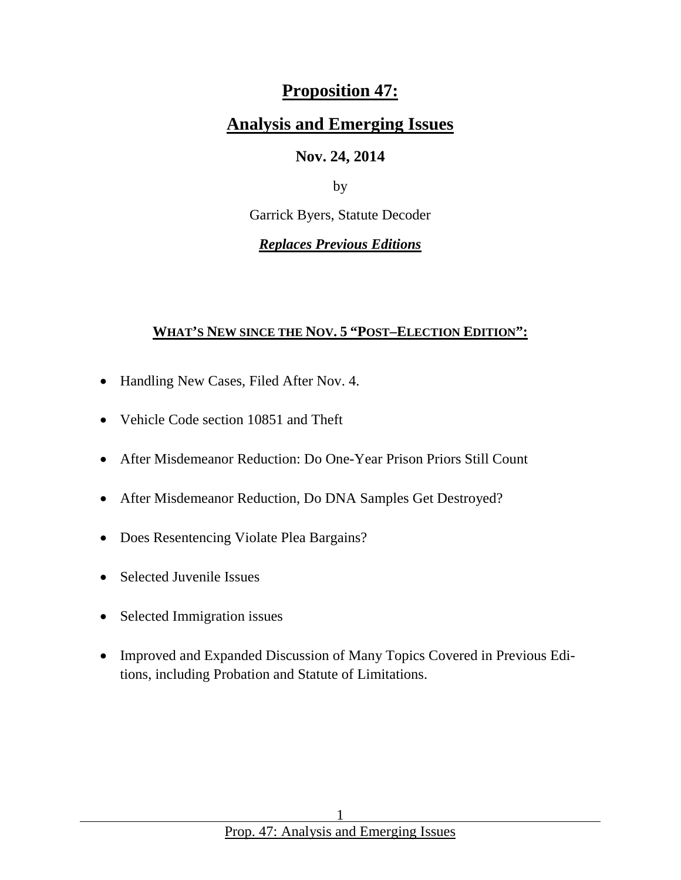# **Proposition 47:**

# **Analysis and Emerging Issues**

### **Nov. 24, 2014**

by

Garrick Byers, Statute Decoder

*Replaces Previous Editions*

### **WHAT'S NEW SINCE THE NOV. 5 "POST–ELECTION EDITION":**

- Handling New Cases, Filed After Nov. 4.
- Vehicle Code section 10851 and Theft
- After Misdemeanor Reduction: Do One-Year Prison Priors Still Count
- After Misdemeanor Reduction, Do DNA Samples Get Destroyed?
- Does Resentencing Violate Plea Bargains?
- Selected Juvenile Issues
- Selected Immigration issues
- Improved and Expanded Discussion of Many Topics Covered in Previous Editions, including Probation and Statute of Limitations.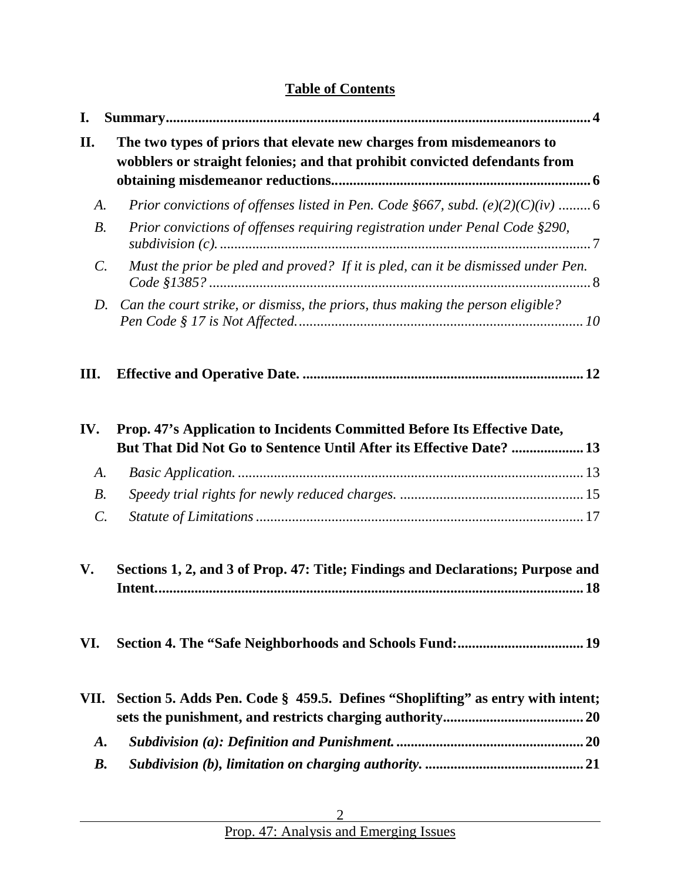# **Table of Contents**

| I.              |                                                                                                                                                     |
|-----------------|-----------------------------------------------------------------------------------------------------------------------------------------------------|
| II.             | The two types of priors that elevate new charges from misdemeanors to<br>wobblers or straight felonies; and that prohibit convicted defendants from |
| A.              | Prior convictions of offenses listed in Pen. Code §667, subd. $(e)(2)(C)(iv)$ 6                                                                     |
| $B$ .           | Prior convictions of offenses requiring registration under Penal Code §290,                                                                         |
| $\mathcal{C}$ . | Must the prior be pled and proved? If it is pled, can it be dismissed under Pen.                                                                    |
| D.              | Can the court strike, or dismiss, the priors, thus making the person eligible?                                                                      |
| Ш.              |                                                                                                                                                     |
| IV.             | Prop. 47's Application to Incidents Committed Before Its Effective Date,<br>But That Did Not Go to Sentence Until After its Effective Date?  13     |
| А.              |                                                                                                                                                     |
| $B_{\cdot}$     |                                                                                                                                                     |
| $\mathcal{C}$ . |                                                                                                                                                     |
| V.              | Sections 1, 2, and 3 of Prop. 47: Title; Findings and Declarations; Purpose and                                                                     |
| VI.             |                                                                                                                                                     |
| VII.            | Section 5. Adds Pen. Code § 459.5. Defines "Shoplifting" as entry with intent;                                                                      |
| <b>A.</b>       |                                                                                                                                                     |
| <b>B.</b>       |                                                                                                                                                     |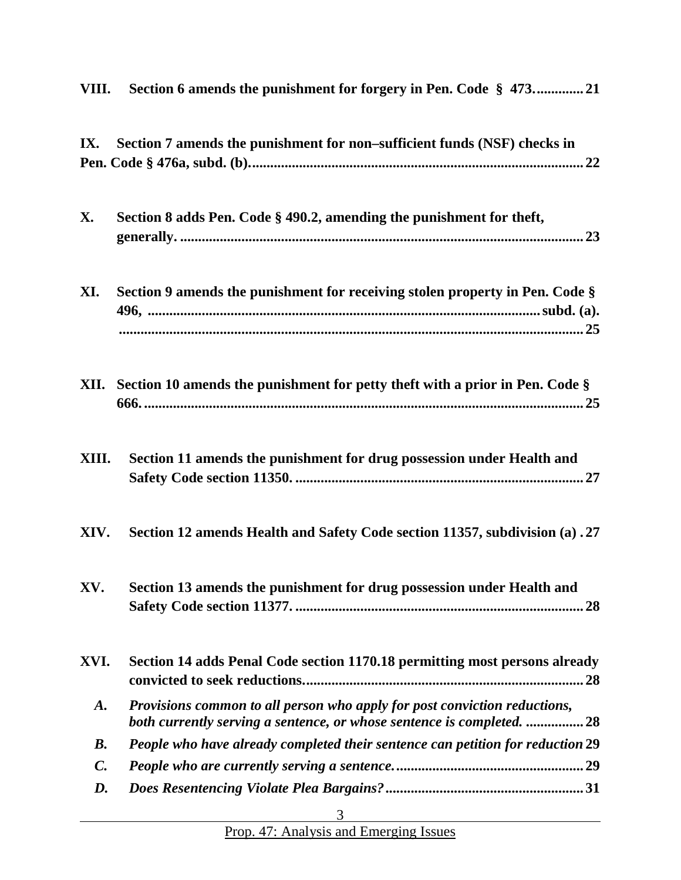| VIII.           | Section 6 amends the punishment for forgery in Pen. Code § 47321                                                                                   |
|-----------------|----------------------------------------------------------------------------------------------------------------------------------------------------|
| IX.             | Section 7 amends the punishment for non-sufficient funds (NSF) checks in                                                                           |
| X.              | Section 8 adds Pen. Code § 490.2, amending the punishment for theft,                                                                               |
| XI.             | Section 9 amends the punishment for receiving stolen property in Pen. Code §                                                                       |
|                 | <b>XII.</b> Section 10 amends the punishment for petty theft with a prior in Pen. Code $\S$                                                        |
| XIII.           | Section 11 amends the punishment for drug possession under Health and                                                                              |
| XIV.            | Section 12 amends Health and Safety Code section 11357, subdivision (a) .27                                                                        |
| XV.             | Section 13 amends the punishment for drug possession under Health and                                                                              |
| XVI.            | Section 14 adds Penal Code section 1170.18 permitting most persons already<br>. 28                                                                 |
| <b>A.</b>       | Provisions common to all person who apply for post conviction reductions,<br>both currently serving a sentence, or whose sentence is completed. 28 |
| <b>B.</b>       | People who have already completed their sentence can petition for reduction 29                                                                     |
| $\mathcal{C}$ . |                                                                                                                                                    |
| D.              |                                                                                                                                                    |
|                 | 3                                                                                                                                                  |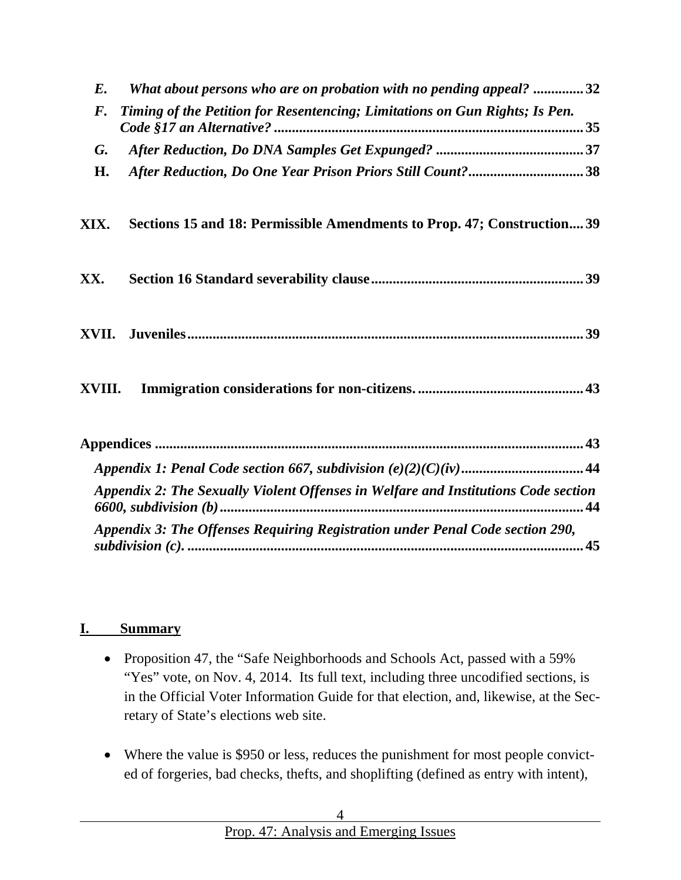| What about persons who are on probation with no pending appeal? 32<br>E.                          |  |  |  |  |
|---------------------------------------------------------------------------------------------------|--|--|--|--|
| Timing of the Petition for Resentencing; Limitations on Gun Rights; Is Pen.<br>$\boldsymbol{F}$ . |  |  |  |  |
| G.                                                                                                |  |  |  |  |
| After Reduction, Do One Year Prison Priors Still Count?38<br>Н.                                   |  |  |  |  |
| Sections 15 and 18: Permissible Amendments to Prop. 47; Construction 39<br>XIX.                   |  |  |  |  |
| XX.                                                                                               |  |  |  |  |
|                                                                                                   |  |  |  |  |
|                                                                                                   |  |  |  |  |
|                                                                                                   |  |  |  |  |
|                                                                                                   |  |  |  |  |
| Appendix 2: The Sexually Violent Offenses in Welfare and Institutions Code section<br>44          |  |  |  |  |
| Appendix 3: The Offenses Requiring Registration under Penal Code section 290,                     |  |  |  |  |

#### <span id="page-3-0"></span>**I. Summary**

- Proposition 47, the "Safe Neighborhoods and Schools Act, passed with a 59% "Yes" vote, on Nov. 4, 2014. Its full text, including three uncodified sections, is in the Official Voter Information Guide for that election, and, likewise, at the Secretary of State's elections web site.
- Where the value is \$950 or less, reduces the punishment for most people convicted of forgeries, bad checks, thefts, and shoplifting (defined as entry with intent),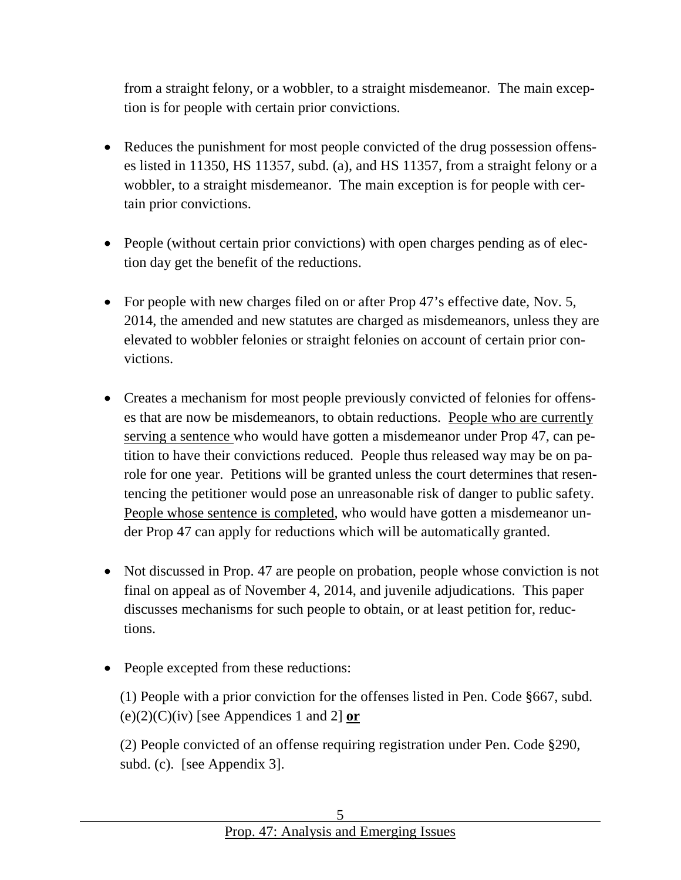from a straight felony, or a wobbler, to a straight misdemeanor. The main exception is for people with certain prior convictions.

- Reduces the punishment for most people convicted of the drug possession offenses listed in 11350, HS 11357, subd. (a), and HS 11357, from a straight felony or a wobbler, to a straight misdemeanor. The main exception is for people with certain prior convictions.
- People (without certain prior convictions) with open charges pending as of election day get the benefit of the reductions.
- For people with new charges filed on or after Prop 47's effective date, Nov. 5, 2014, the amended and new statutes are charged as misdemeanors, unless they are elevated to wobbler felonies or straight felonies on account of certain prior convictions.
- Creates a mechanism for most people previously convicted of felonies for offenses that are now be misdemeanors, to obtain reductions. People who are currently serving a sentence who would have gotten a misdemeanor under Prop 47, can petition to have their convictions reduced. People thus released way may be on parole for one year. Petitions will be granted unless the court determines that resentencing the petitioner would pose an unreasonable risk of danger to public safety. People whose sentence is completed, who would have gotten a misdemeanor under Prop 47 can apply for reductions which will be automatically granted.
- Not discussed in Prop. 47 are people on probation, people whose conviction is not final on appeal as of November 4, 2014, and juvenile adjudications. This paper discusses mechanisms for such people to obtain, or at least petition for, reductions.
- People excepted from these reductions:

(1) People with a prior conviction for the offenses listed in Pen. Code §667, subd.  $(e)(2)(C)(iv)$  [see Appendices 1 and 2] **or** 

(2) People convicted of an offense requiring registration under Pen. Code §290, subd. (c). [see Appendix 3].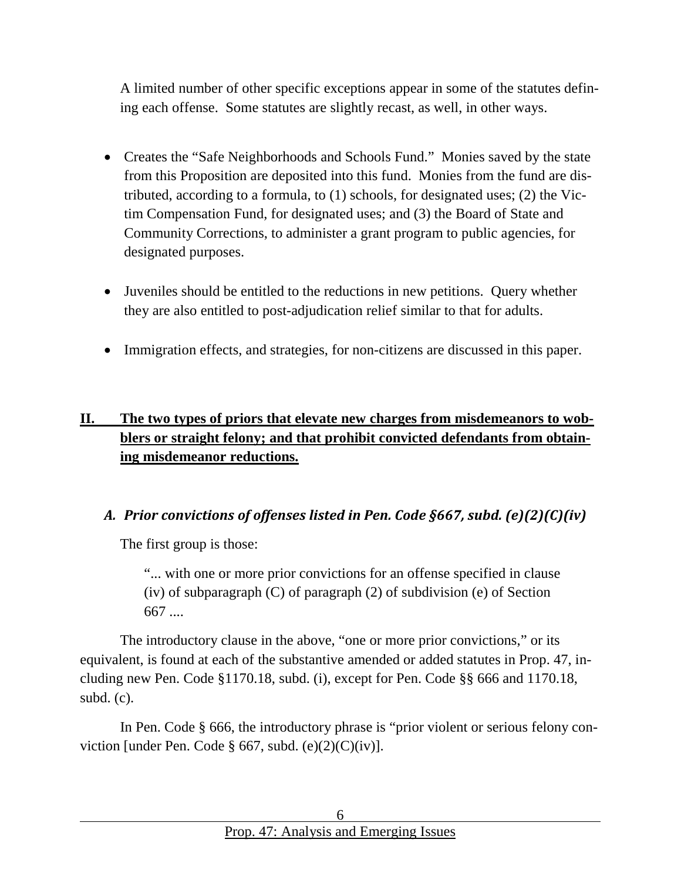A limited number of other specific exceptions appear in some of the statutes defining each offense. Some statutes are slightly recast, as well, in other ways.

- Creates the "Safe Neighborhoods and Schools Fund." Monies saved by the state from this Proposition are deposited into this fund. Monies from the fund are distributed, according to a formula, to (1) schools, for designated uses; (2) the Victim Compensation Fund, for designated uses; and (3) the Board of State and Community Corrections, to administer a grant program to public agencies, for designated purposes.
- Juveniles should be entitled to the reductions in new petitions. Query whether they are also entitled to post-adjudication relief similar to that for adults.
- Immigration effects, and strategies, for non-citizens are discussed in this paper.

# <span id="page-5-0"></span>**II. The two types of priors that elevate new charges from misdemeanors to wobblers or straight felony; and that prohibit convicted defendants from obtaining misdemeanor reductions.**

#### <span id="page-5-1"></span>*A. Prior convictions of offenses listed in Pen. Code §667, subd. (e)(2)(C)(iv)*

The first group is those:

"... with one or more prior convictions for an offense specified in clause (iv) of subparagraph  $(C)$  of paragraph  $(2)$  of subdivision (e) of Section 667 ....

The introductory clause in the above, "one or more prior convictions," or its equivalent, is found at each of the substantive amended or added statutes in Prop. 47, including new Pen. Code §1170.18, subd. (i), except for Pen. Code §§ 666 and 1170.18, subd. (c).

In Pen. Code § 666, the introductory phrase is "prior violent or serious felony conviction [under Pen. Code § 667, subd.  $(e)(2)(C)(iv)$ ].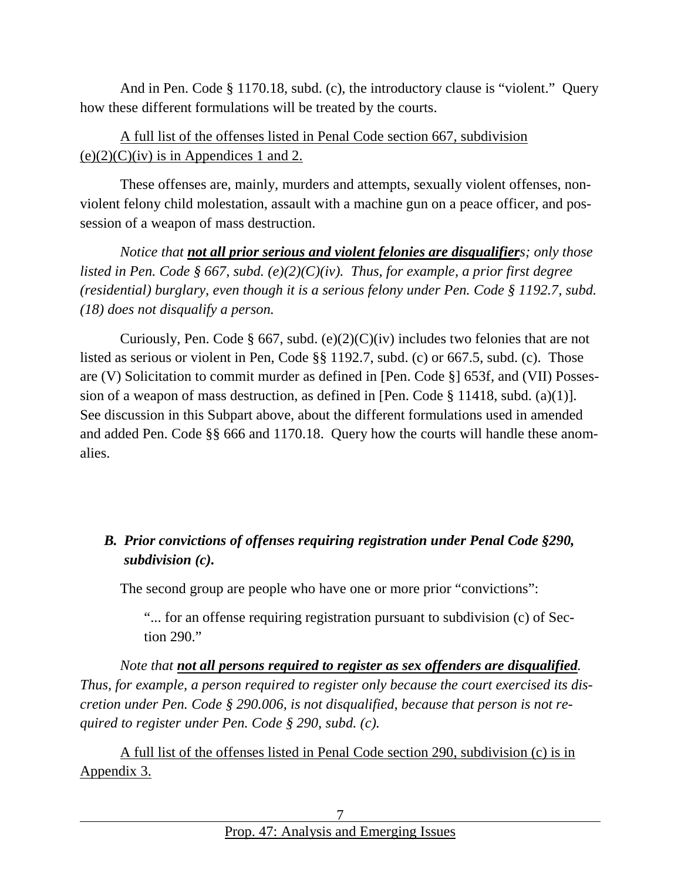And in Pen. Code § 1170.18, subd. (c), the introductory clause is "violent." Query how these different formulations will be treated by the courts.

### A full list of the offenses listed in Penal Code section 667, subdivision  $(e)(2)(C)(iv)$  is in Appendices 1 and 2.

These offenses are, mainly, murders and attempts, sexually violent offenses, nonviolent felony child molestation, assault with a machine gun on a peace officer, and possession of a weapon of mass destruction.

*Notice that not all prior serious and violent felonies are disqualifiers; only those listed in Pen. Code § 667, subd. (e)(2)(C)(iv). Thus, for example, a prior first degree (residential) burglary, even though it is a serious felony under Pen. Code § 1192.7, subd. (18) does not disqualify a person.*

Curiously, Pen. Code § 667, subd.  $(e)(2)(C)(iv)$  includes two felonies that are not listed as serious or violent in Pen, Code §§ 1192.7, subd. (c) or 667.5, subd. (c). Those are (V) Solicitation to commit murder as defined in [Pen. Code §] 653f, and (VII) Possession of a weapon of mass destruction, as defined in [Pen. Code  $\S$  11418, subd. (a)(1)]. See discussion in this Subpart above, about the different formulations used in amended and added Pen. Code §§ 666 and 1170.18. Query how the courts will handle these anomalies.

### <span id="page-6-0"></span>*B. Prior convictions of offenses requiring registration under Penal Code §290, subdivision (c).*

The second group are people who have one or more prior "convictions":

"... for an offense requiring registration pursuant to subdivision (c) of Section 290."

*Note that not all persons required to register as sex offenders are disqualified. Thus, for example, a person required to register only because the court exercised its discretion under Pen. Code § 290.006, is not disqualified, because that person is not required to register under Pen. Code § 290, subd. (c).* 

A full list of the offenses listed in Penal Code section 290, subdivision (c) is in Appendix 3.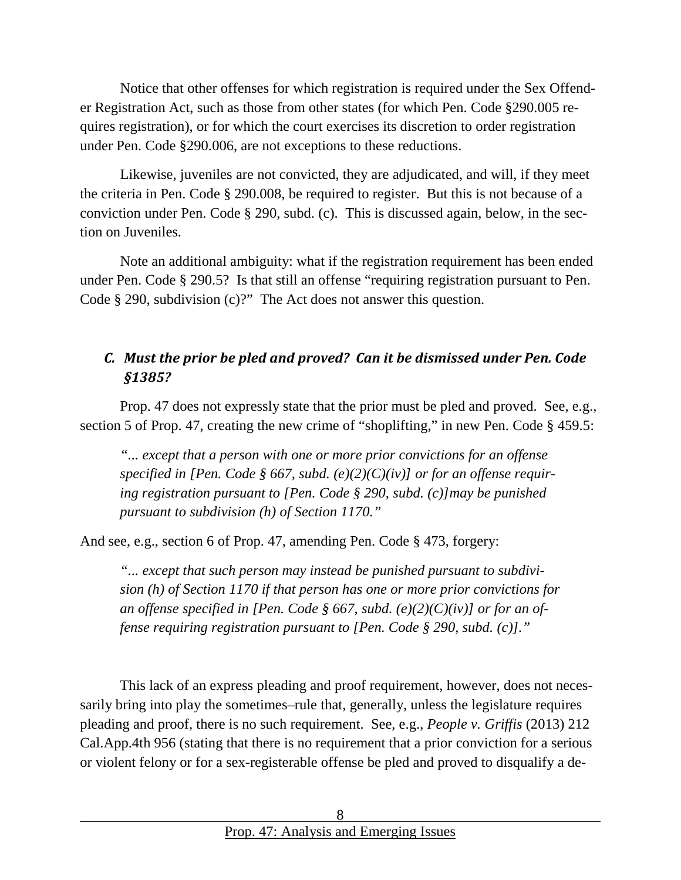Notice that other offenses for which registration is required under the Sex Offender Registration Act, such as those from other states (for which Pen. Code §290.005 requires registration), or for which the court exercises its discretion to order registration under Pen. Code §290.006, are not exceptions to these reductions.

Likewise, juveniles are not convicted, they are adjudicated, and will, if they meet the criteria in Pen. Code § 290.008, be required to register. But this is not because of a conviction under Pen. Code § 290, subd. (c). This is discussed again, below, in the section on Juveniles.

Note an additional ambiguity: what if the registration requirement has been ended under Pen. Code § 290.5? Is that still an offense "requiring registration pursuant to Pen. Code § 290, subdivision (c)?" The Act does not answer this question.

# <span id="page-7-0"></span>*C. Must the prior be pled and proved? Can it be dismissed under Pen. Code §1385?*

Prop. 47 does not expressly state that the prior must be pled and proved. See, e.g., section 5 of Prop. 47, creating the new crime of "shoplifting," in new Pen. Code § 459.5:

*"... except that a person with one or more prior convictions for an offense specified in [Pen. Code § 667, subd. (e)(2)(C)(iv)] or for an offense requiring registration pursuant to [Pen. Code § 290, subd. (c)]may be punished pursuant to subdivision (h) of Section 1170."*

And see, e.g., section 6 of Prop. 47, amending Pen. Code § 473, forgery:

*"... except that such person may instead be punished pursuant to subdivision (h) of Section 1170 if that person has one or more prior convictions for an offense specified in [Pen. Code § 667, subd. (e)(2)(C)(iv)] or for an offense requiring registration pursuant to [Pen. Code § 290, subd. (c)]."*

This lack of an express pleading and proof requirement, however, does not necessarily bring into play the sometimes–rule that, generally, unless the legislature requires pleading and proof, there is no such requirement. See, e.g., *People v. Griffis* (2013) 212 Cal.App.4th 956 (stating that there is no requirement that a prior conviction for a serious or violent felony or for a sex-registerable offense be pled and proved to disqualify a de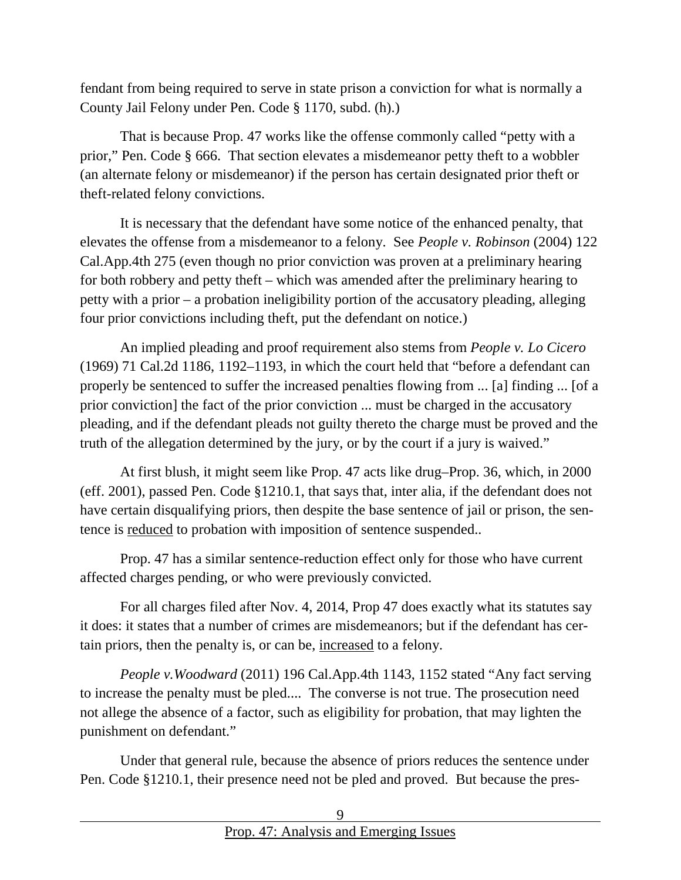fendant from being required to serve in state prison a conviction for what is normally a County Jail Felony under Pen. Code § 1170, subd. (h).)

That is because Prop. 47 works like the offense commonly called "petty with a prior," Pen. Code § 666. That section elevates a misdemeanor petty theft to a wobbler (an alternate felony or misdemeanor) if the person has certain designated prior theft or theft-related felony convictions.

It is necessary that the defendant have some notice of the enhanced penalty, that elevates the offense from a misdemeanor to a felony. See *People v. Robinson* (2004) 122 Cal.App.4th 275 (even though no prior conviction was proven at a preliminary hearing for both robbery and petty theft – which was amended after the preliminary hearing to petty with a prior – a probation ineligibility portion of the accusatory pleading, alleging four prior convictions including theft, put the defendant on notice.)

An implied pleading and proof requirement also stems from *People v. Lo Cicero* (1969) 71 Cal.2d 1186, 1192–1193, in which the court held that "before a defendant can properly be sentenced to suffer the increased penalties flowing from ... [a] finding ... [of a prior conviction] the fact of the prior conviction ... must be charged in the accusatory pleading, and if the defendant pleads not guilty thereto the charge must be proved and the truth of the allegation determined by the jury, or by the court if a jury is waived."

At first blush, it might seem like Prop. 47 acts like drug–Prop. 36, which, in 2000 (eff. 2001), passed Pen. Code §1210.1, that says that, inter alia, if the defendant does not have certain disqualifying priors, then despite the base sentence of jail or prison, the sentence is reduced to probation with imposition of sentence suspended..

Prop. 47 has a similar sentence-reduction effect only for those who have current affected charges pending, or who were previously convicted.

For all charges filed after Nov. 4, 2014, Prop 47 does exactly what its statutes say it does: it states that a number of crimes are misdemeanors; but if the defendant has certain priors, then the penalty is, or can be, increased to a felony.

*People v.Woodward* (2011) 196 Cal.App.4th 1143, 1152 stated "Any fact serving to increase the penalty must be pled.... The converse is not true. The prosecution need not allege the absence of a factor, such as eligibility for probation, that may lighten the punishment on defendant."

Under that general rule, because the absence of priors reduces the sentence under Pen. Code §1210.1, their presence need not be pled and proved. But because the pres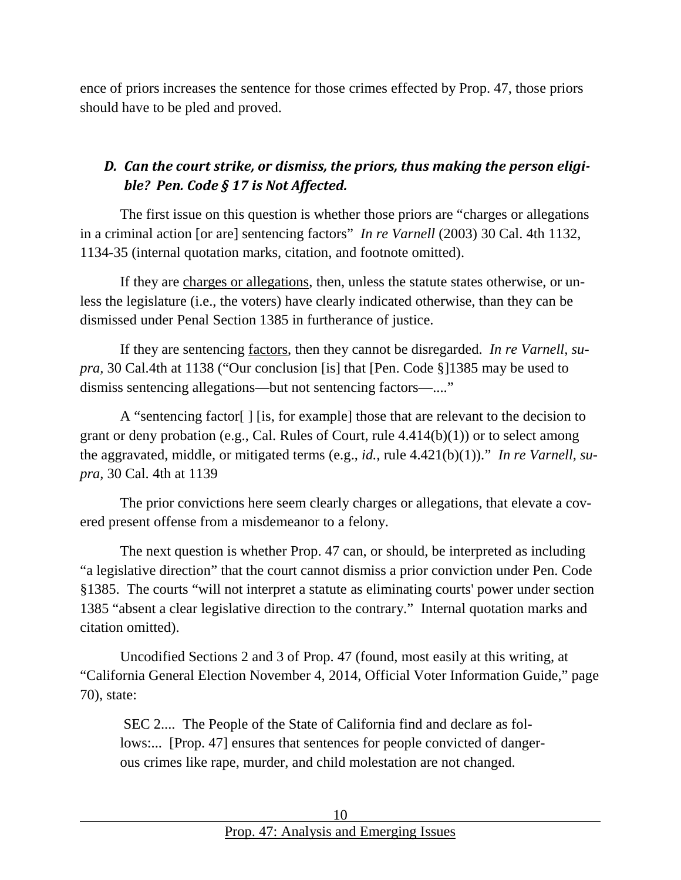ence of priors increases the sentence for those crimes effected by Prop. 47, those priors should have to be pled and proved.

# <span id="page-9-0"></span>*D. Can the court strike, or dismiss, the priors, thus making the person eligible? Pen. Code § 17 is Not Affected.*

The first issue on this question is whether those priors are "charges or allegations in a criminal action [or are] sentencing factors" *In re Varnell* (2003) 30 Cal. 4th 1132, 1134-35 (internal quotation marks, citation, and footnote omitted).

If they are charges or allegations, then, unless the statute states otherwise, or unless the legislature (i.e., the voters) have clearly indicated otherwise, than they can be dismissed under Penal Section 1385 in furtherance of justice.

If they are sentencing factors, then they cannot be disregarded. *In re Varnell, supra,* 30 Cal.4th at 1138 ("Our conclusion [is] that [Pen. Code §]1385 may be used to dismiss sentencing allegations—but not sentencing factors—...."

A "sentencing factor[ ] [is, for example] those that are relevant to the decision to grant or deny probation (e.g., Cal. Rules of Court, rule 4.414(b)(1)) or to select among the aggravated, middle, or mitigated terms (e.g., *id.,* rule 4.421(b)(1))." *In re Varnell, supra,* 30 Cal. 4th at 1139

The prior convictions here seem clearly charges or allegations, that elevate a covered present offense from a misdemeanor to a felony.

The next question is whether Prop. 47 can, or should, be interpreted as including "a legislative direction" that the court cannot dismiss a prior conviction under Pen. Code §1385. The courts "will not interpret a statute as eliminating courts' power under section 1385 "absent a clear legislative direction to the contrary." Internal quotation marks and citation omitted).

Uncodified Sections 2 and 3 of Prop. 47 (found, most easily at this writing, at "California General Election November 4, 2014, Official Voter Information Guide," page 70), state:

SEC 2.... The People of the State of California find and declare as follows:... [Prop. 47] ensures that sentences for people convicted of dangerous crimes like rape, murder, and child molestation are not changed.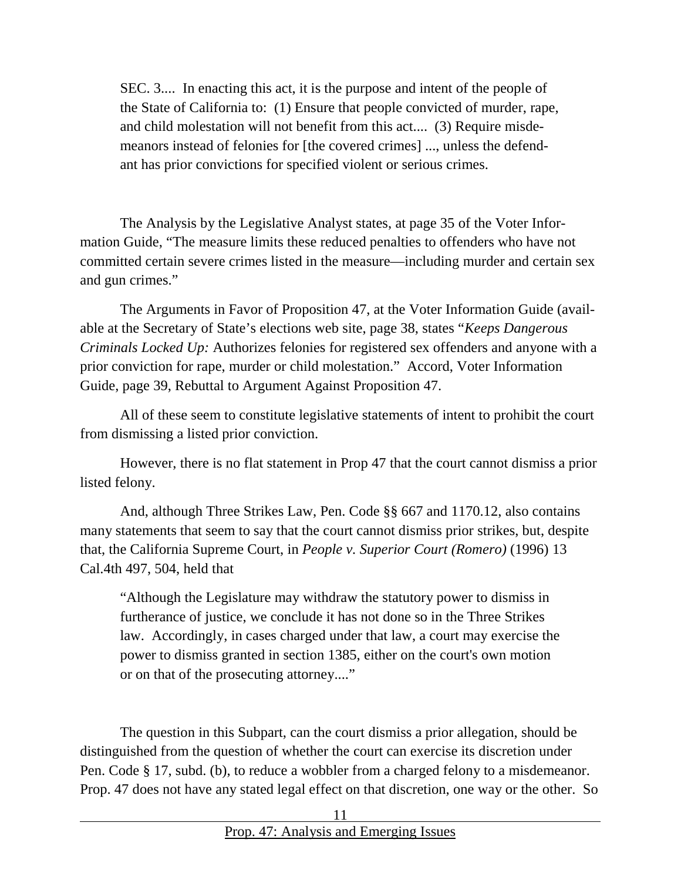SEC. 3.... In enacting this act, it is the purpose and intent of the people of the State of California to: (1) Ensure that people convicted of murder, rape, and child molestation will not benefit from this act.... (3) Require misdemeanors instead of felonies for [the covered crimes] ..., unless the defendant has prior convictions for specified violent or serious crimes.

The Analysis by the Legislative Analyst states, at page 35 of the Voter Information Guide, "The measure limits these reduced penalties to offenders who have not committed certain severe crimes listed in the measure—including murder and certain sex and gun crimes."

The Arguments in Favor of Proposition 47, at the Voter Information Guide (available at the Secretary of State's elections web site, page 38, states "*Keeps Dangerous Criminals Locked Up:* Authorizes felonies for registered sex offenders and anyone with a prior conviction for rape, murder or child molestation." Accord, Voter Information Guide, page 39, Rebuttal to Argument Against Proposition 47.

All of these seem to constitute legislative statements of intent to prohibit the court from dismissing a listed prior conviction.

However, there is no flat statement in Prop 47 that the court cannot dismiss a prior listed felony.

And, although Three Strikes Law, Pen. Code §§ 667 and 1170.12, also contains many statements that seem to say that the court cannot dismiss prior strikes, but, despite that, the California Supreme Court, in *People v. Superior Court (Romero)* (1996) 13 Cal.4th 497, 504, held that

"Although the Legislature may withdraw the statutory power to dismiss in furtherance of justice, we conclude it has not done so in the Three Strikes law. Accordingly, in cases charged under that law, a court may exercise the power to dismiss granted in section 1385, either on the court's own motion or on that of the prosecuting attorney...."

The question in this Subpart, can the court dismiss a prior allegation, should be distinguished from the question of whether the court can exercise its discretion under Pen. Code § 17, subd. (b), to reduce a wobbler from a charged felony to a misdemeanor. Prop. 47 does not have any stated legal effect on that discretion, one way or the other. So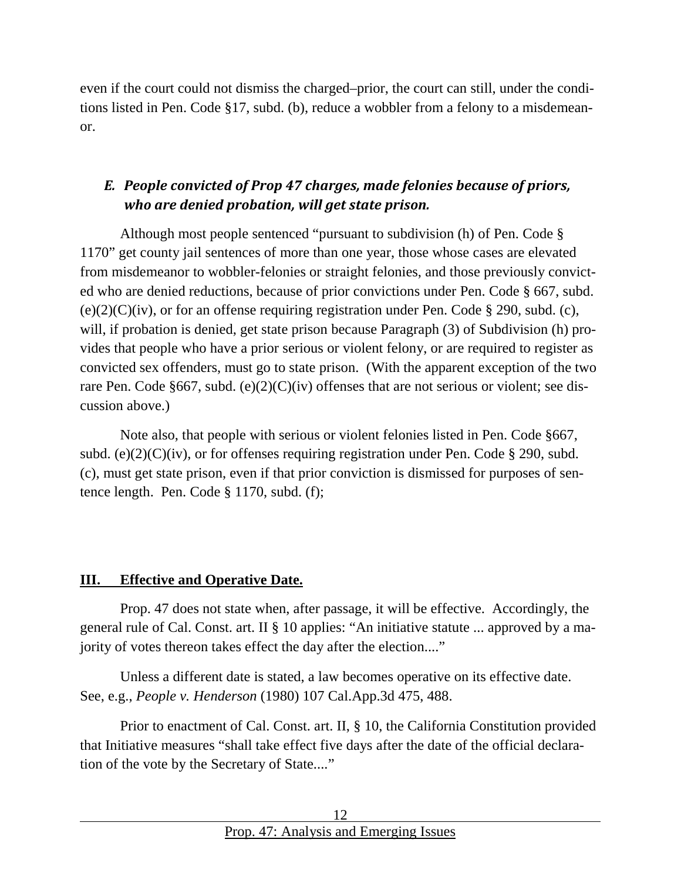even if the court could not dismiss the charged–prior, the court can still, under the conditions listed in Pen. Code §17, subd. (b), reduce a wobbler from a felony to a misdemeanor.

# *E. People convicted of Prop 47 charges, made felonies because of priors, who are denied probation, will get state prison.*

Although most people sentenced "pursuant to subdivision (h) of Pen. Code § 1170" get county jail sentences of more than one year, those whose cases are elevated from misdemeanor to wobbler-felonies or straight felonies, and those previously convicted who are denied reductions, because of prior convictions under Pen. Code § 667, subd.  $(e)(2)(C)(iv)$ , or for an offense requiring registration under Pen. Code § 290, subd. (c), will, if probation is denied, get state prison because Paragraph (3) of Subdivision (h) provides that people who have a prior serious or violent felony, or are required to register as convicted sex offenders, must go to state prison. (With the apparent exception of the two rare Pen. Code §667, subd.  $(e)(2)(C)(iv)$  offenses that are not serious or violent; see discussion above.)

Note also, that people with serious or violent felonies listed in Pen. Code §667, subd. (e)(2)( $C$ )(iv), or for offenses requiring registration under Pen. Code § 290, subd. (c), must get state prison, even if that prior conviction is dismissed for purposes of sentence length. Pen. Code § 1170, subd. (f);

#### <span id="page-11-0"></span>**III. Effective and Operative Date.**

Prop. 47 does not state when, after passage, it will be effective. Accordingly, the general rule of Cal. Const. art. II § 10 applies: "An initiative statute ... approved by a majority of votes thereon takes effect the day after the election...."

Unless a different date is stated, a law becomes operative on its effective date. See, e.g., *People v. Henderson* (1980) 107 Cal.App.3d 475, 488.

Prior to enactment of Cal. Const. art. II, § 10, the California Constitution provided that Initiative measures "shall take effect five days after the date of the official declaration of the vote by the Secretary of State...."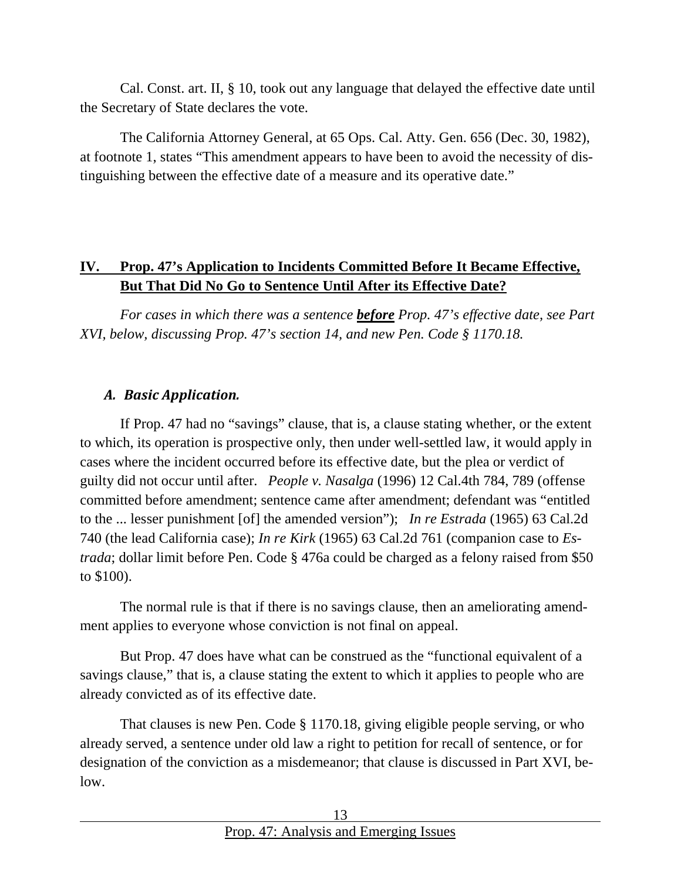Cal. Const. art. II, § 10, took out any language that delayed the effective date until the Secretary of State declares the vote.

The California Attorney General, at 65 Ops. Cal. Atty. Gen. 656 (Dec. 30, 1982), at footnote 1, states "This amendment appears to have been to avoid the necessity of distinguishing between the effective date of a measure and its operative date."

### <span id="page-12-0"></span>**IV. Prop. 47's Application to Incidents Committed Before It Became Effective, But That Did No Go to Sentence Until After its Effective Date?**

*For cases in which there was a sentence before Prop. 47's effective date, see Part XVI, below, discussing Prop. 47's section 14, and new Pen. Code § 1170.18.*

#### <span id="page-12-1"></span>*A. Basic Application.*

If Prop. 47 had no "savings" clause, that is, a clause stating whether, or the extent to which, its operation is prospective only, then under well-settled law, it would apply in cases where the incident occurred before its effective date, but the plea or verdict of guilty did not occur until after. *People v. Nasalga* (1996) 12 Cal.4th 784, 789 (offense committed before amendment; sentence came after amendment; defendant was "entitled to the ... lesser punishment [of] the amended version"); *In re Estrada* (1965) 63 Cal.2d 740 (the lead California case); *In re Kirk* (1965) 63 Cal.2d 761 (companion case to *Estrada*; dollar limit before Pen. Code § 476a could be charged as a felony raised from \$50 to \$100).

The normal rule is that if there is no savings clause, then an ameliorating amendment applies to everyone whose conviction is not final on appeal.

But Prop. 47 does have what can be construed as the "functional equivalent of a savings clause," that is, a clause stating the extent to which it applies to people who are already convicted as of its effective date.

That clauses is new Pen. Code § 1170.18, giving eligible people serving, or who already served, a sentence under old law a right to petition for recall of sentence, or for designation of the conviction as a misdemeanor; that clause is discussed in Part XVI, below.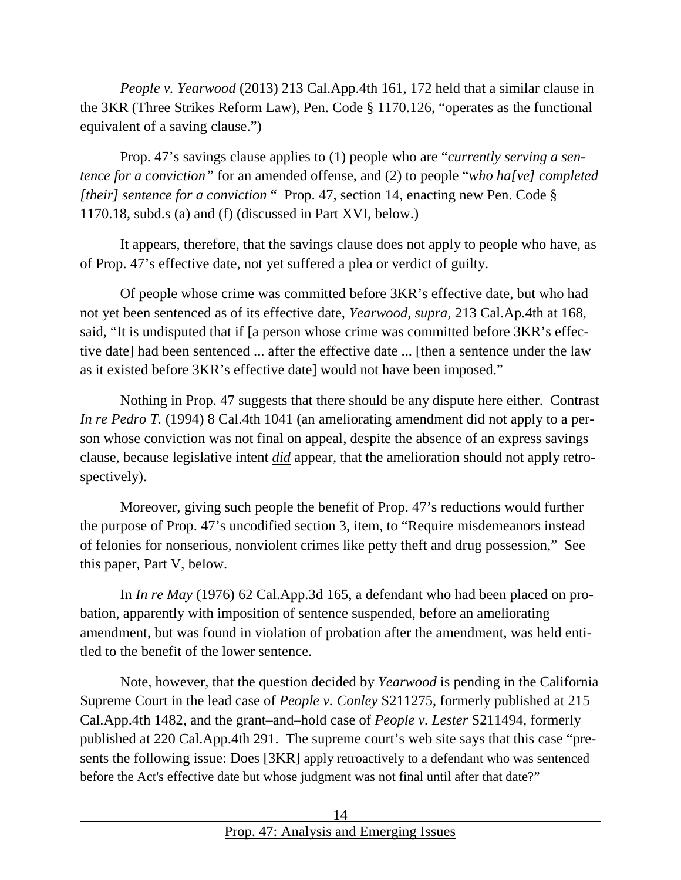*People v. Yearwood* (2013) 213 Cal.App.4th 161, 172 held that a similar clause in the 3KR (Three Strikes Reform Law), Pen. Code § 1170.126, "operates as the functional equivalent of a saving clause.")

Prop. 47's savings clause applies to (1) people who are "*currently serving a sentence for a conviction"* for an amended offense, and (2) to people "*who ha[ve] completed [their] sentence for a conviction* " Prop. 47, section 14, enacting new Pen. Code § 1170.18, subd.s (a) and (f) (discussed in Part XVI, below.)

It appears, therefore, that the savings clause does not apply to people who have, as of Prop. 47's effective date, not yet suffered a plea or verdict of guilty.

Of people whose crime was committed before 3KR's effective date, but who had not yet been sentenced as of its effective date, *Yearwood, supra,* 213 Cal.Ap.4th at 168, said, "It is undisputed that if [a person whose crime was committed before 3KR's effective date] had been sentenced ... after the effective date ... [then a sentence under the law as it existed before 3KR's effective date] would not have been imposed."

Nothing in Prop. 47 suggests that there should be any dispute here either. Contrast *In re Pedro T.* (1994) 8 Cal.4th 1041 (an ameliorating amendment did not apply to a person whose conviction was not final on appeal, despite the absence of an express savings clause, because legislative intent *did* appear, that the amelioration should not apply retrospectively).

Moreover, giving such people the benefit of Prop. 47's reductions would further the purpose of Prop. 47's uncodified section 3, item, to "Require misdemeanors instead of felonies for nonserious, nonviolent crimes like petty theft and drug possession," See this paper, Part V, below.

In *In re May* (1976) 62 Cal.App.3d 165, a defendant who had been placed on probation, apparently with imposition of sentence suspended, before an ameliorating amendment, but was found in violation of probation after the amendment, was held entitled to the benefit of the lower sentence.

Note, however, that the question decided by *Yearwood* is pending in the California Supreme Court in the lead case of *People v. Conley* S211275, formerly published at 215 Cal.App.4th 1482, and the grant–and–hold case of *People v. Lester* S211494, formerly published at 220 Cal.App.4th 291. The supreme court's web site says that this case "presents the following issue: Does [3KR] apply retroactively to a defendant who was sentenced before the Act's effective date but whose judgment was not final until after that date?"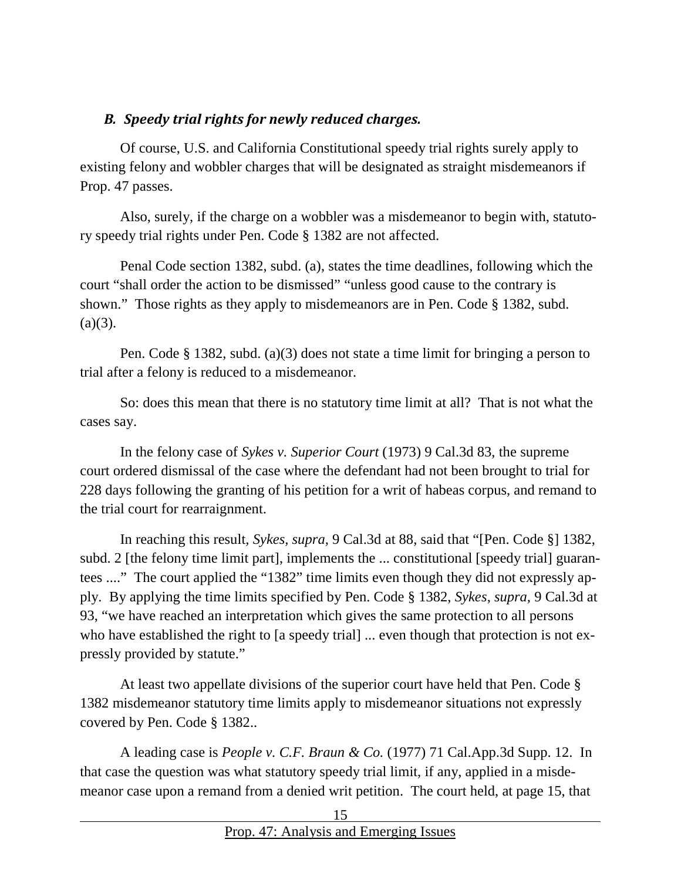#### <span id="page-14-0"></span>*B. Speedy trial rights for newly reduced charges.*

Of course, U.S. and California Constitutional speedy trial rights surely apply to existing felony and wobbler charges that will be designated as straight misdemeanors if Prop. 47 passes.

Also, surely, if the charge on a wobbler was a misdemeanor to begin with, statutory speedy trial rights under Pen. Code § 1382 are not affected.

Penal Code section 1382, subd. (a), states the time deadlines, following which the court "shall order the action to be dismissed" "unless good cause to the contrary is shown." Those rights as they apply to misdemeanors are in Pen. Code § 1382, subd.  $(a)(3)$ .

Pen. Code § 1382, subd. (a)(3) does not state a time limit for bringing a person to trial after a felony is reduced to a misdemeanor.

So: does this mean that there is no statutory time limit at all? That is not what the cases say.

In the felony case of *Sykes v. Superior Court* (1973) 9 Cal.3d 83, the supreme court ordered dismissal of the case where the defendant had not been brought to trial for 228 days following the granting of his petition for a writ of habeas corpus, and remand to the trial court for rearraignment.

In reaching this result, *Sykes, supra,* 9 Cal.3d at 88, said that "[Pen. Code §] 1382, subd. 2 [the felony time limit part], implements the ... constitutional [speedy trial] guarantees ...." The court applied the "1382" time limits even though they did not expressly apply. By applying the time limits specified by Pen. Code § 1382, *Sykes*, *supra,* 9 Cal.3d at 93, "we have reached an interpretation which gives the same protection to all persons who have established the right to [a speedy trial] ... even though that protection is not expressly provided by statute."

At least two appellate divisions of the superior court have held that Pen. Code § 1382 misdemeanor statutory time limits apply to misdemeanor situations not expressly covered by Pen. Code § 1382..

A leading case is *People v. C.F. Braun & Co.* (1977) 71 Cal.App.3d Supp. 12. In that case the question was what statutory speedy trial limit, if any, applied in a misdemeanor case upon a remand from a denied writ petition. The court held, at page 15, that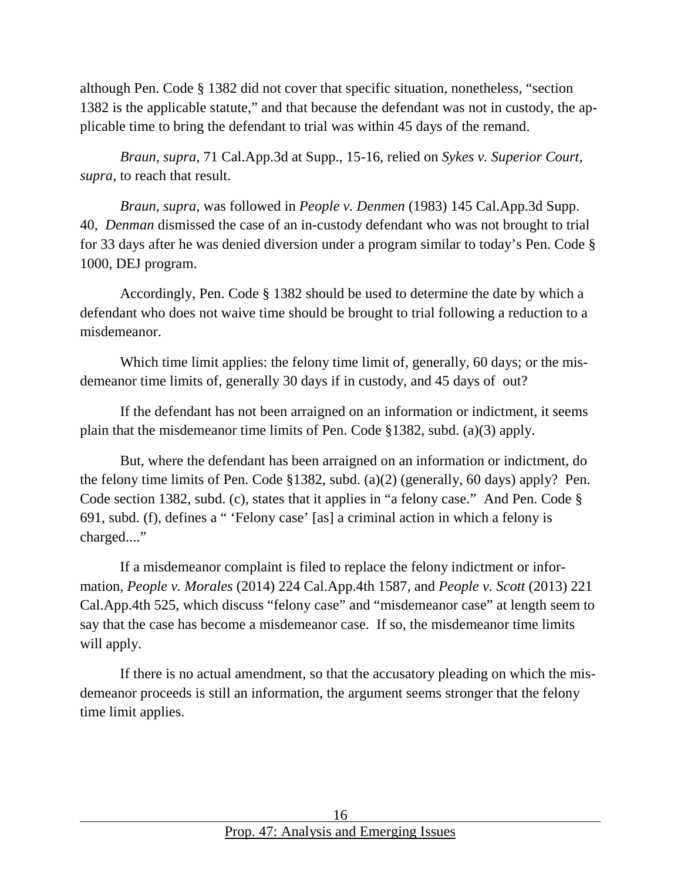although Pen. Code § 1382 did not cover that specific situation, nonetheless, "section 1382 is the applicable statute," and that because the defendant was not in custody, the applicable time to bring the defendant to trial was within 45 days of the remand.

*Braun, supra,* 71 Cal.App.3d at Supp., 15-16, relied on *Sykes v. Superior Court, supra,* to reach that result.

*Braun, supra,* was followed in *People v. Denmen* (1983) 145 Cal.App.3d Supp. 40, *Denman* dismissed the case of an in-custody defendant who was not brought to trial for 33 days after he was denied diversion under a program similar to today's Pen. Code § 1000, DEJ program.

Accordingly, Pen. Code § 1382 should be used to determine the date by which a defendant who does not waive time should be brought to trial following a reduction to a misdemeanor.

Which time limit applies: the felony time limit of, generally, 60 days; or the misdemeanor time limits of, generally 30 days if in custody, and 45 days of out?

If the defendant has not been arraigned on an information or indictment, it seems plain that the misdemeanor time limits of Pen. Code §1382, subd. (a)(3) apply.

But, where the defendant has been arraigned on an information or indictment, do the felony time limits of Pen. Code §1382, subd. (a)(2) (generally, 60 days) apply? Pen. Code section 1382, subd. (c), states that it applies in "a felony case." And Pen. Code § 691, subd. (f), defines a " 'Felony case' [as] a criminal action in which a felony is charged...."

If a misdemeanor complaint is filed to replace the felony indictment or information, *People v. Morales* (2014) 224 Cal.App.4th 1587, and *People v. Scott* (2013) 221 Cal.App.4th 525, which discuss "felony case" and "misdemeanor case" at length seem to say that the case has become a misdemeanor case. If so, the misdemeanor time limits will apply.

If there is no actual amendment, so that the accusatory pleading on which the misdemeanor proceeds is still an information, the argument seems stronger that the felony time limit applies.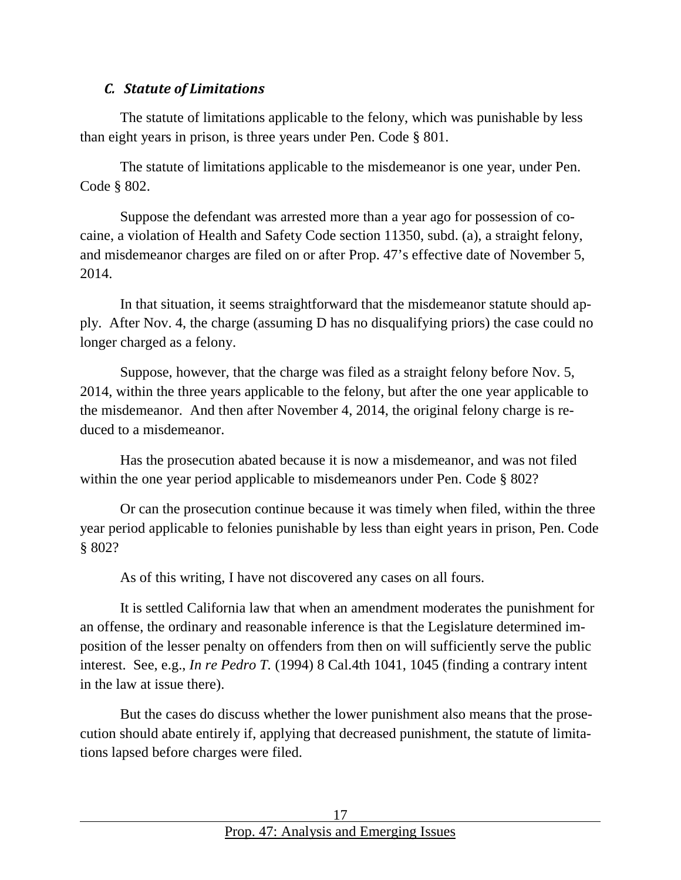#### <span id="page-16-0"></span>*C. Statute of Limitations*

The statute of limitations applicable to the felony, which was punishable by less than eight years in prison, is three years under Pen. Code § 801.

The statute of limitations applicable to the misdemeanor is one year, under Pen. Code § 802.

Suppose the defendant was arrested more than a year ago for possession of cocaine, a violation of Health and Safety Code section 11350, subd. (a), a straight felony, and misdemeanor charges are filed on or after Prop. 47's effective date of November 5, 2014.

In that situation, it seems straightforward that the misdemeanor statute should apply. After Nov. 4, the charge (assuming D has no disqualifying priors) the case could no longer charged as a felony.

Suppose, however, that the charge was filed as a straight felony before Nov. 5, 2014, within the three years applicable to the felony, but after the one year applicable to the misdemeanor. And then after November 4, 2014, the original felony charge is reduced to a misdemeanor.

Has the prosecution abated because it is now a misdemeanor, and was not filed within the one year period applicable to misdemeanors under Pen. Code § 802?

Or can the prosecution continue because it was timely when filed, within the three year period applicable to felonies punishable by less than eight years in prison, Pen. Code § 802?

As of this writing, I have not discovered any cases on all fours.

It is settled California law that when an amendment moderates the punishment for an offense, the ordinary and reasonable inference is that the Legislature determined imposition of the lesser penalty on offenders from then on will sufficiently serve the public interest. See, e.g., *In re Pedro T.* (1994) 8 Cal.4th 1041, 1045 (finding a contrary intent in the law at issue there).

But the cases do discuss whether the lower punishment also means that the prosecution should abate entirely if, applying that decreased punishment, the statute of limitations lapsed before charges were filed.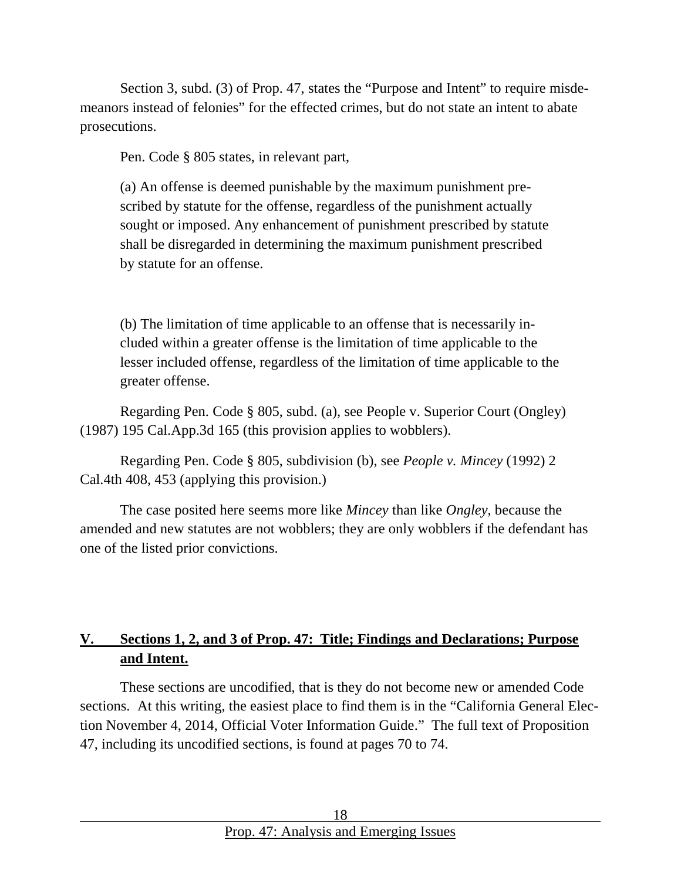Section 3, subd. (3) of Prop. 47, states the "Purpose and Intent" to require misdemeanors instead of felonies" for the effected crimes, but do not state an intent to abate prosecutions.

Pen. Code § 805 states, in relevant part,

(a) An offense is deemed punishable by the maximum punishment prescribed by statute for the offense, regardless of the punishment actually sought or imposed. Any enhancement of punishment prescribed by statute shall be disregarded in determining the maximum punishment prescribed by statute for an offense.

(b) The limitation of time applicable to an offense that is necessarily included within a greater offense is the limitation of time applicable to the lesser included offense, regardless of the limitation of time applicable to the greater offense.

Regarding Pen. Code § 805, subd. (a), see People v. Superior Court (Ongley) (1987) 195 Cal.App.3d 165 (this provision applies to wobblers).

Regarding Pen. Code § 805, subdivision (b), see *People v. Mincey* (1992) 2 Cal.4th 408, 453 (applying this provision.)

The case posited here seems more like *Mincey* than like *Ongley*, because the amended and new statutes are not wobblers; they are only wobblers if the defendant has one of the listed prior convictions.

# <span id="page-17-0"></span>**V. Sections 1, 2, and 3 of Prop. 47: Title; Findings and Declarations; Purpose and Intent.**

These sections are uncodified, that is they do not become new or amended Code sections. At this writing, the easiest place to find them is in the "California General Election November 4, 2014, Official Voter Information Guide." The full text of Proposition 47, including its uncodified sections, is found at pages 70 to 74.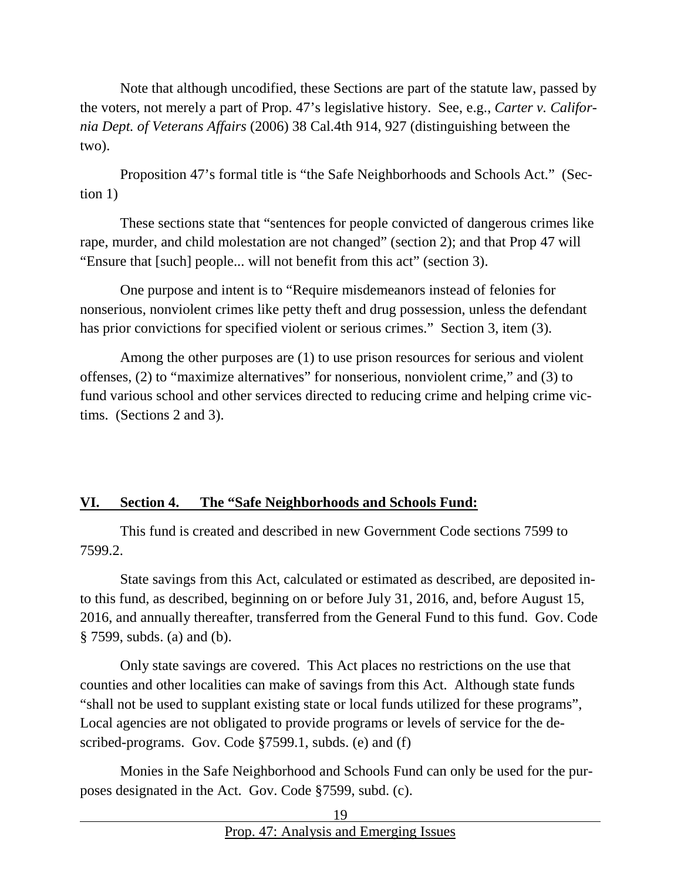Note that although uncodified, these Sections are part of the statute law, passed by the voters, not merely a part of Prop. 47's legislative history. See, e.g., *Carter v. California Dept. of Veterans Affairs* (2006) 38 Cal.4th 914, 927 (distinguishing between the two).

Proposition 47's formal title is "the Safe Neighborhoods and Schools Act." (Section 1)

These sections state that "sentences for people convicted of dangerous crimes like rape, murder, and child molestation are not changed" (section 2); and that Prop 47 will "Ensure that [such] people... will not benefit from this act" (section 3).

One purpose and intent is to "Require misdemeanors instead of felonies for nonserious, nonviolent crimes like petty theft and drug possession, unless the defendant has prior convictions for specified violent or serious crimes." Section 3, item (3).

Among the other purposes are (1) to use prison resources for serious and violent offenses, (2) to "maximize alternatives" for nonserious, nonviolent crime," and (3) to fund various school and other services directed to reducing crime and helping crime victims. (Sections 2 and 3).

#### <span id="page-18-0"></span>**VI. Section 4. The "Safe Neighborhoods and Schools Fund:**

This fund is created and described in new Government Code sections 7599 to 7599.2.

State savings from this Act, calculated or estimated as described, are deposited into this fund, as described, beginning on or before July 31, 2016, and, before August 15, 2016, and annually thereafter, transferred from the General Fund to this fund. Gov. Code § 7599, subds. (a) and (b).

Only state savings are covered. This Act places no restrictions on the use that counties and other localities can make of savings from this Act. Although state funds "shall not be used to supplant existing state or local funds utilized for these programs", Local agencies are not obligated to provide programs or levels of service for the described-programs. Gov. Code §7599.1, subds. (e) and (f)

Monies in the Safe Neighborhood and Schools Fund can only be used for the purposes designated in the Act. Gov. Code §7599, subd. (c).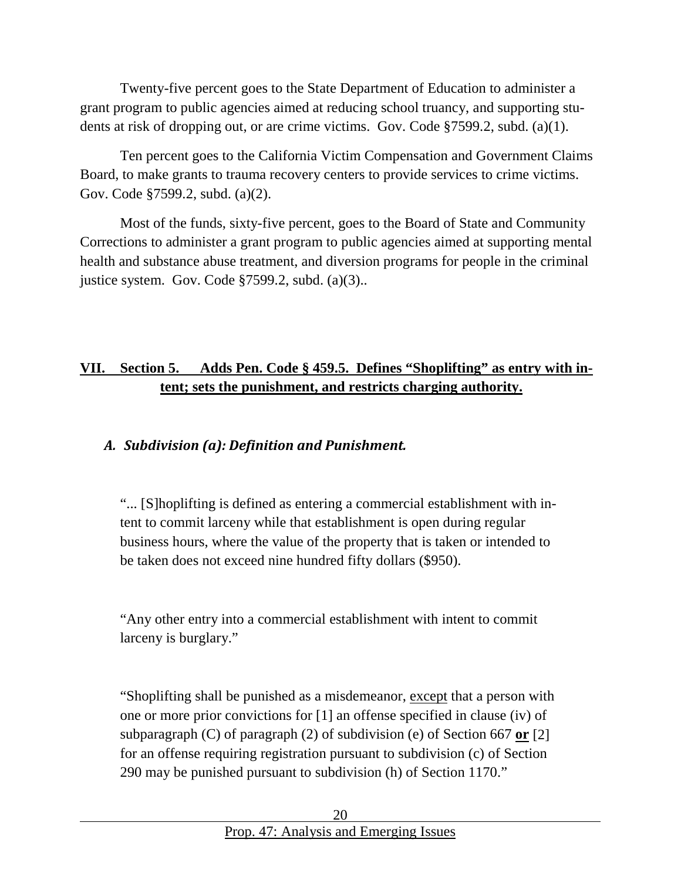Twenty-five percent goes to the State Department of Education to administer a grant program to public agencies aimed at reducing school truancy, and supporting students at risk of dropping out, or are crime victims. Gov. Code §7599.2, subd. (a)(1).

Ten percent goes to the California Victim Compensation and Government Claims Board, to make grants to trauma recovery centers to provide services to crime victims. Gov. Code §7599.2, subd. (a)(2).

Most of the funds, sixty-five percent, goes to the Board of State and Community Corrections to administer a grant program to public agencies aimed at supporting mental health and substance abuse treatment, and diversion programs for people in the criminal justice system. Gov. Code §7599.2, subd. (a)(3)..

# <span id="page-19-0"></span>**VII. Section 5. Adds Pen. Code § 459.5. Defines "Shoplifting" as entry with intent; sets the punishment, and restricts charging authority.**

#### <span id="page-19-1"></span>*A. Subdivision (a): Definition and Punishment.*

"... [S]hoplifting is defined as entering a commercial establishment with intent to commit larceny while that establishment is open during regular business hours, where the value of the property that is taken or intended to be taken does not exceed nine hundred fifty dollars (\$950).

"Any other entry into a commercial establishment with intent to commit larceny is burglary."

"Shoplifting shall be punished as a misdemeanor, except that a person with one or more prior convictions for [1] an offense specified in clause (iv) of subparagraph (C) of paragraph (2) of subdivision (e) of Section 667 **or** [2] for an offense requiring registration pursuant to subdivision (c) of Section 290 may be punished pursuant to subdivision (h) of Section 1170."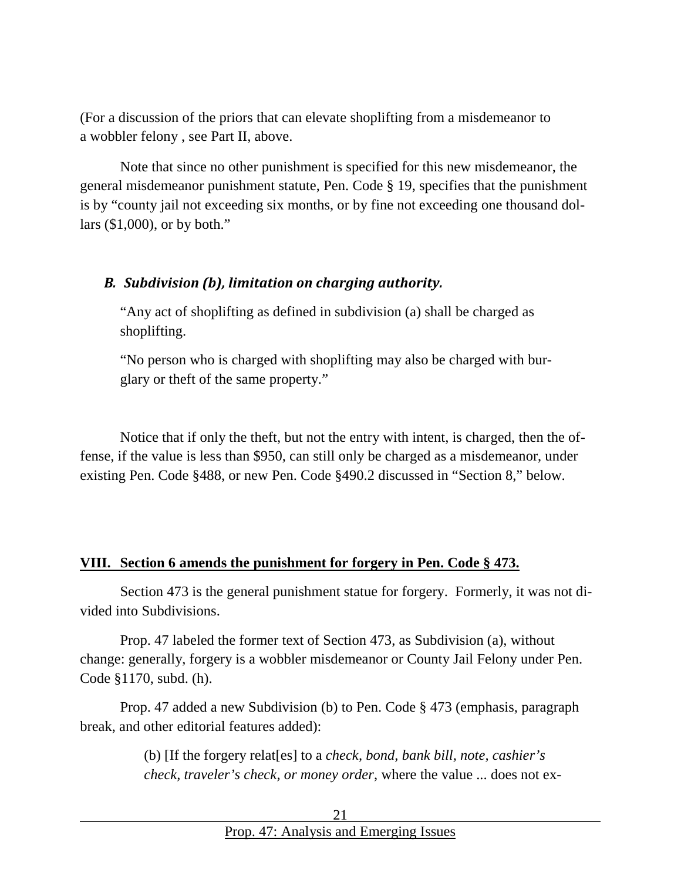(For a discussion of the priors that can elevate shoplifting from a misdemeanor to a wobbler felony , see Part II, above.

Note that since no other punishment is specified for this new misdemeanor, the general misdemeanor punishment statute, Pen. Code § 19, specifies that the punishment is by "county jail not exceeding six months, or by fine not exceeding one thousand dollars (\$1,000), or by both."

#### <span id="page-20-0"></span>*B. Subdivision (b), limitation on charging authority.*

"Any act of shoplifting as defined in subdivision (a) shall be charged as shoplifting.

"No person who is charged with shoplifting may also be charged with burglary or theft of the same property."

Notice that if only the theft, but not the entry with intent, is charged, then the offense, if the value is less than \$950, can still only be charged as a misdemeanor, under existing Pen. Code §488, or new Pen. Code §490.2 discussed in "Section 8," below.

#### <span id="page-20-1"></span>**VIII. Section 6 amends the punishment for forgery in Pen. Code § 473.**

Section 473 is the general punishment statue for forgery. Formerly, it was not divided into Subdivisions.

Prop. 47 labeled the former text of Section 473, as Subdivision (a), without change: generally, forgery is a wobbler misdemeanor or County Jail Felony under Pen. Code §1170, subd. (h).

Prop. 47 added a new Subdivision (b) to Pen. Code § 473 (emphasis, paragraph break, and other editorial features added):

> (b) [If the forgery relat[es] to a *check, bond, bank bill, note, cashier's check, traveler's check, or money order*, where the value ... does not ex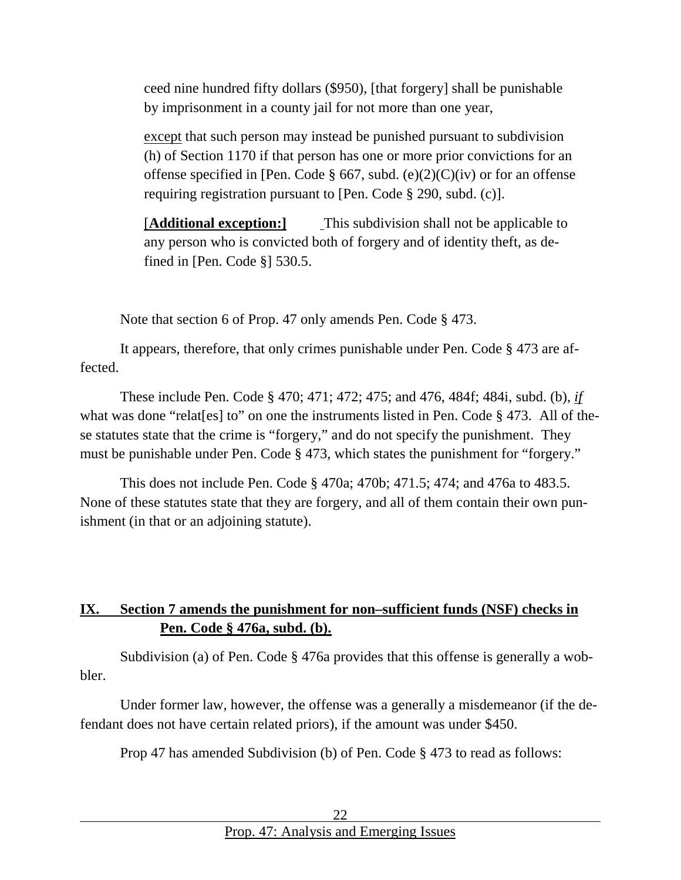ceed nine hundred fifty dollars (\$950), [that forgery] shall be punishable by imprisonment in a county jail for not more than one year,

except that such person may instead be punished pursuant to subdivision (h) of Section 1170 if that person has one or more prior convictions for an offense specified in [Pen. Code § 667, subd. (e)(2)(C)(iv) or for an offense requiring registration pursuant to [Pen. Code § 290, subd. (c)].

[**Additional exception:]** This subdivision shall not be applicable to any person who is convicted both of forgery and of identity theft, as defined in [Pen. Code §] 530.5.

Note that section 6 of Prop. 47 only amends Pen. Code § 473.

It appears, therefore, that only crimes punishable under Pen. Code § 473 are affected.

These include Pen. Code § 470; 471; 472; 475; and 476, 484f; 484i, subd. (b), *if* what was done "relater" on one the instruments listed in Pen. Code § 473. All of these statutes state that the crime is "forgery," and do not specify the punishment. They must be punishable under Pen. Code § 473, which states the punishment for "forgery."

This does not include Pen. Code § 470a; 470b; 471.5; 474; and 476a to 483.5. None of these statutes state that they are forgery, and all of them contain their own punishment (in that or an adjoining statute).

### <span id="page-21-0"></span>**IX. Section 7 amends the punishment for non–sufficient funds (NSF) checks in Pen. Code § 476a, subd. (b).**

Subdivision (a) of Pen. Code § 476a provides that this offense is generally a wobbler.

Under former law, however, the offense was a generally a misdemeanor (if the defendant does not have certain related priors), if the amount was under \$450.

Prop 47 has amended Subdivision (b) of Pen. Code § 473 to read as follows: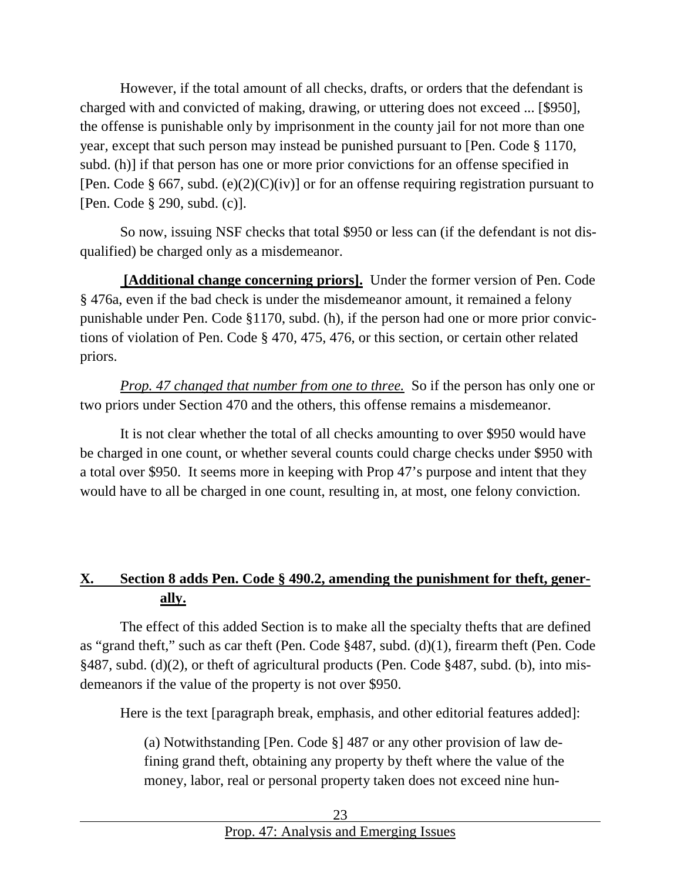However, if the total amount of all checks, drafts, or orders that the defendant is charged with and convicted of making, drawing, or uttering does not exceed ... [\$950], the offense is punishable only by imprisonment in the county jail for not more than one year*,* except that such person may instead be punished pursuant to [Pen. Code § 1170, subd. (h)] if that person has one or more prior convictions for an offense specified in [Pen. Code § 667, subd. (e)(2)(C)(iv)] or for an offense requiring registration pursuant to [Pen. Code § 290, subd. (c)].

So now, issuing NSF checks that total \$950 or less can (if the defendant is not disqualified) be charged only as a misdemeanor.

**[Additional change concerning priors].** Under the former version of Pen. Code § 476a, even if the bad check is under the misdemeanor amount, it remained a felony punishable under Pen. Code §1170, subd. (h), if the person had one or more prior convictions of violation of Pen. Code § 470, 475, 476, or this section, or certain other related priors.

*Prop. 47 changed that number from one to three.* So if the person has only one or two priors under Section 470 and the others, this offense remains a misdemeanor.

It is not clear whether the total of all checks amounting to over \$950 would have be charged in one count, or whether several counts could charge checks under \$950 with a total over \$950. It seems more in keeping with Prop 47's purpose and intent that they would have to all be charged in one count, resulting in, at most, one felony conviction.

# <span id="page-22-0"></span>**X. Section 8 adds Pen. Code § 490.2, amending the punishment for theft, generally.**

The effect of this added Section is to make all the specialty thefts that are defined as "grand theft," such as car theft (Pen. Code §487, subd. (d)(1), firearm theft (Pen. Code §487, subd. (d)(2), or theft of agricultural products (Pen. Code §487, subd. (b), into misdemeanors if the value of the property is not over \$950.

Here is the text [paragraph break, emphasis, and other editorial features added]:

(a) Notwithstanding [Pen. Code §] 487 or any other provision of law defining grand theft, obtaining any property by theft where the value of the money, labor, real or personal property taken does not exceed nine hun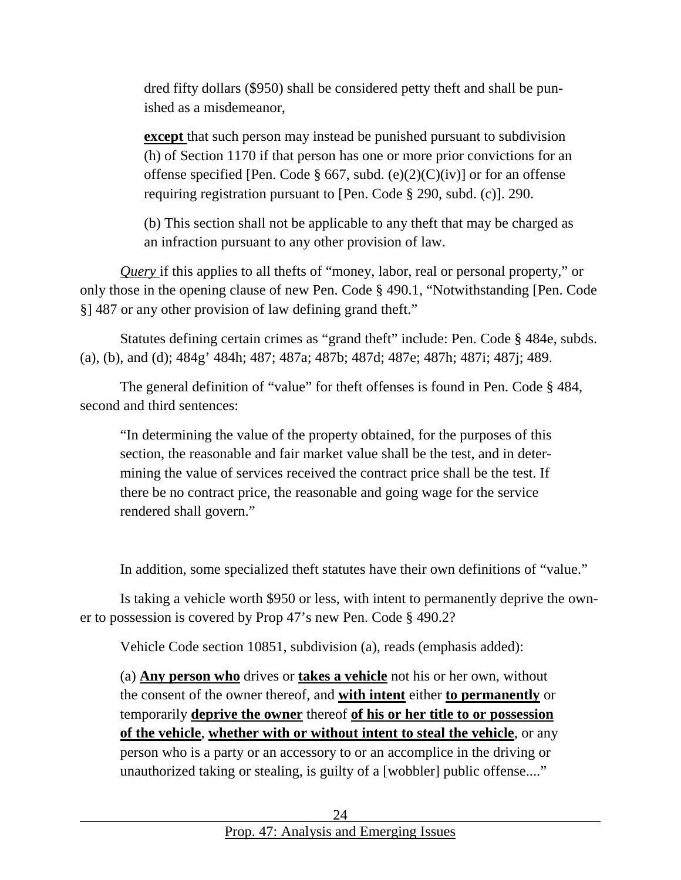dred fifty dollars (\$950) shall be considered petty theft and shall be punished as a misdemeanor,

**except** that such person may instead be punished pursuant to subdivision (h) of Section 1170 if that person has one or more prior convictions for an offense specified [Pen. Code § 667, subd. (e)(2)(C)(iv)] or for an offense requiring registration pursuant to [Pen. Code § 290, subd. (c)]. 290.

(b) This section shall not be applicable to any theft that may be charged as an infraction pursuant to any other provision of law.

*Query* if this applies to all thefts of "money, labor, real or personal property," or only those in the opening clause of new Pen. Code § 490.1, "Notwithstanding [Pen. Code §] 487 or any other provision of law defining grand theft."

Statutes defining certain crimes as "grand theft" include: Pen. Code § 484e, subds. (a), (b), and (d); 484g' 484h; 487; 487a; 487b; 487d; 487e; 487h; 487i; 487j; 489.

The general definition of "value" for theft offenses is found in Pen. Code § 484, second and third sentences:

"In determining the value of the property obtained, for the purposes of this section, the reasonable and fair market value shall be the test, and in determining the value of services received the contract price shall be the test. If there be no contract price, the reasonable and going wage for the service rendered shall govern."

In addition, some specialized theft statutes have their own definitions of "value."

Is taking a vehicle worth \$950 or less, with intent to permanently deprive the owner to possession is covered by Prop 47's new Pen. Code § 490.2?

Vehicle Code section 10851, subdivision (a), reads (emphasis added):

(a) **Any person who** drives or **takes a vehicle** not his or her own, without the consent of the owner thereof, and **with intent** either **to permanently** or temporarily **deprive the owner** thereof **of his or her title to or possession of the vehicle**, **whether with or without intent to steal the vehicle**, or any person who is a party or an accessory to or an accomplice in the driving or unauthorized taking or stealing, is guilty of a [wobbler] public offense...."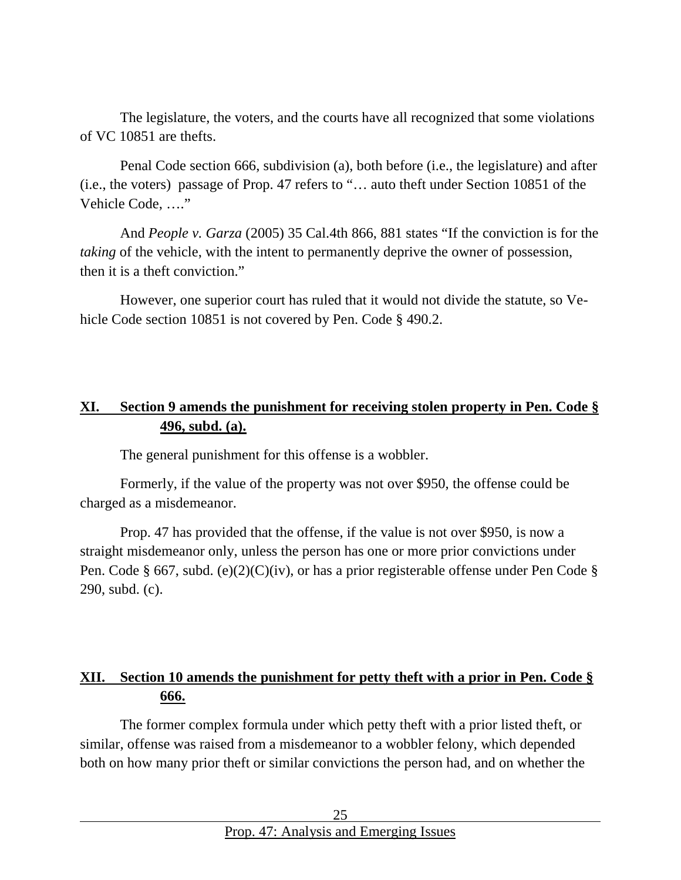The legislature, the voters, and the courts have all recognized that some violations of VC 10851 are thefts.

Penal Code section 666, subdivision (a), both before (i.e., the legislature) and after (i.e., the voters) passage of Prop. 47 refers to "… auto theft under Section 10851 of the Vehicle Code, …."

And *People v. Garza* (2005) 35 Cal.4th 866, 881 states "If the conviction is for the *taking* of the vehicle, with the intent to permanently deprive the owner of possession, then it is a theft conviction."

However, one superior court has ruled that it would not divide the statute, so Vehicle Code section 10851 is not covered by Pen. Code § 490.2.

#### <span id="page-24-0"></span>**XI. Section 9 amends the punishment for receiving stolen property in Pen. Code § 496, subd. (a).**

The general punishment for this offense is a wobbler.

Formerly, if the value of the property was not over \$950, the offense could be charged as a misdemeanor.

Prop. 47 has provided that the offense, if the value is not over \$950, is now a straight misdemeanor only, unless the person has one or more prior convictions under Pen. Code § 667, subd. (e)(2)(C)(iv), or has a prior registerable offense under Pen Code § 290, subd. (c).

### <span id="page-24-1"></span>**XII. Section 10 amends the punishment for petty theft with a prior in Pen. Code § 666.**

The former complex formula under which petty theft with a prior listed theft, or similar, offense was raised from a misdemeanor to a wobbler felony, which depended both on how many prior theft or similar convictions the person had, and on whether the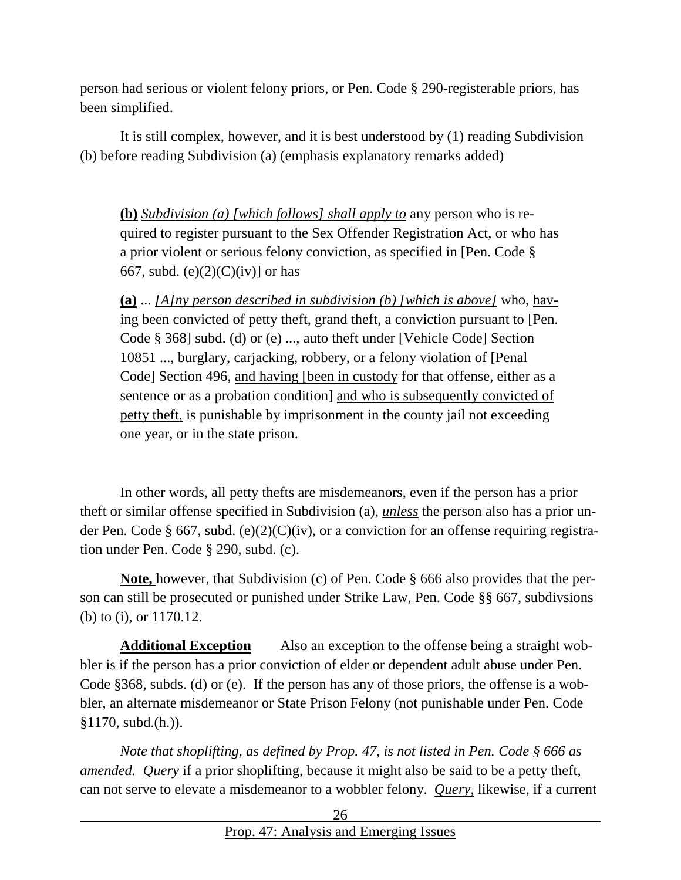person had serious or violent felony priors, or Pen. Code § 290-registerable priors, has been simplified.

It is still complex, however, and it is best understood by (1) reading Subdivision (b) before reading Subdivision (a) (emphasis explanatory remarks added)

**(b)** *Subdivision (a) [which follows] shall apply to* any person who is required to register pursuant to the Sex Offender Registration Act, or who has a prior violent or serious felony conviction, as specified in [Pen. Code § 667, subd. (e) $(2)(C)(iv)$  or has

**(a)** ... *[A]ny person described in subdivision (b) [which is above]* who, having been convicted of petty theft, grand theft, a conviction pursuant to [Pen. Code § 368] subd. (d) or (e) ..., auto theft under [Vehicle Code] Section 10851 ..., burglary, carjacking, robbery, or a felony violation of [Penal Code] Section 496, and having [been in custody for that offense, either as a sentence or as a probation condition] and who is subsequently convicted of petty theft, is punishable by imprisonment in the county jail not exceeding one year, or in the state prison.

In other words, all petty thefts are misdemeanors, even if the person has a prior theft or similar offense specified in Subdivision (a), *unless* the person also has a prior under Pen. Code § 667, subd. (e)(2)(C)(iv), or a conviction for an offense requiring registration under Pen. Code § 290, subd. (c).

**Note,** however, that Subdivision (c) of Pen. Code § 666 also provides that the person can still be prosecuted or punished under Strike Law, Pen. Code §§ 667, subdivsions (b) to (i), or 1170.12.

**Additional Exception** Also an exception to the offense being a straight wobbler is if the person has a prior conviction of elder or dependent adult abuse under Pen. Code §368, subds. (d) or (e). If the person has any of those priors, the offense is a wobbler, an alternate misdemeanor or State Prison Felony (not punishable under Pen. Code §1170, subd.(h.)).

*Note that shoplifting, as defined by Prop. 47, is not listed in Pen. Code § 666 as amended. Query* if a prior shoplifting, because it might also be said to be a petty theft, can not serve to elevate a misdemeanor to a wobbler felony. *Query,* likewise, if a current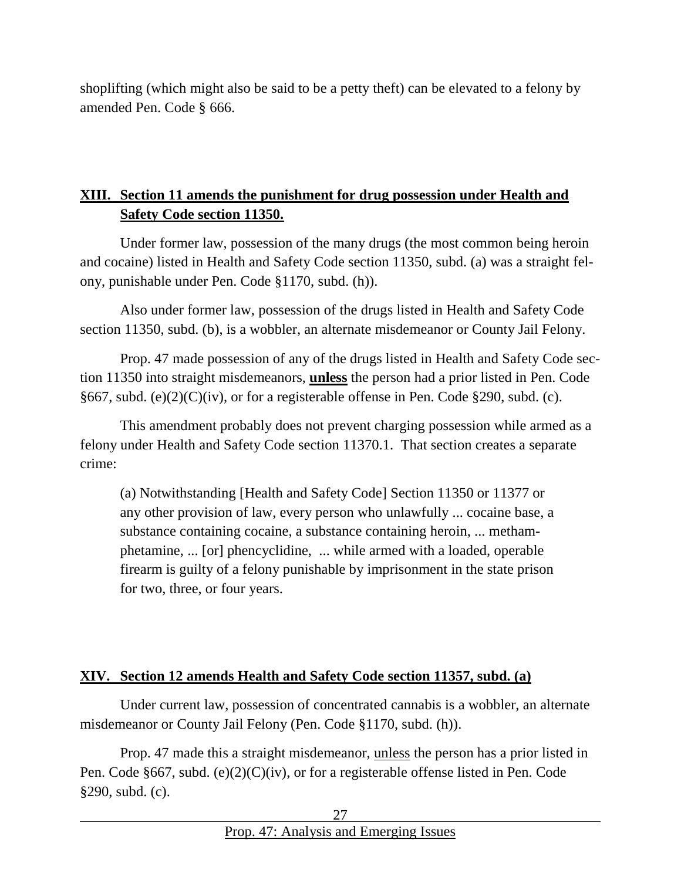shoplifting (which might also be said to be a petty theft) can be elevated to a felony by amended Pen. Code § 666.

### <span id="page-26-0"></span>**XIII. Section 11 amends the punishment for drug possession under Health and Safety Code section 11350.**

Under former law, possession of the many drugs (the most common being heroin and cocaine) listed in Health and Safety Code section 11350, subd. (a) was a straight felony, punishable under Pen. Code §1170, subd. (h)).

Also under former law, possession of the drugs listed in Health and Safety Code section 11350, subd. (b), is a wobbler, an alternate misdemeanor or County Jail Felony.

Prop. 47 made possession of any of the drugs listed in Health and Safety Code section 11350 into straight misdemeanors, **unless** the person had a prior listed in Pen. Code §667, subd. (e)(2)( $C$ )(iv), or for a registerable offense in Pen. Code §290, subd. (c).

This amendment probably does not prevent charging possession while armed as a felony under Health and Safety Code section 11370.1. That section creates a separate crime:

(a) Notwithstanding [Health and Safety Code] Section 11350 or 11377 or any other provision of law, every person who unlawfully ... cocaine base, a substance containing cocaine, a substance containing heroin, ... methamphetamine, ... [or] phencyclidine, ... while armed with a loaded, operable firearm is guilty of a felony punishable by imprisonment in the state prison for two, three, or four years.

#### <span id="page-26-1"></span>**XIV. Section 12 amends Health and Safety Code section 11357, subd. (a)**

Under current law, possession of concentrated cannabis is a wobbler, an alternate misdemeanor or County Jail Felony (Pen. Code §1170, subd. (h)).

Prop. 47 made this a straight misdemeanor, unless the person has a prior listed in Pen. Code §667, subd. (e)(2)(C)(iv), or for a registerable offense listed in Pen. Code §290, subd. (c).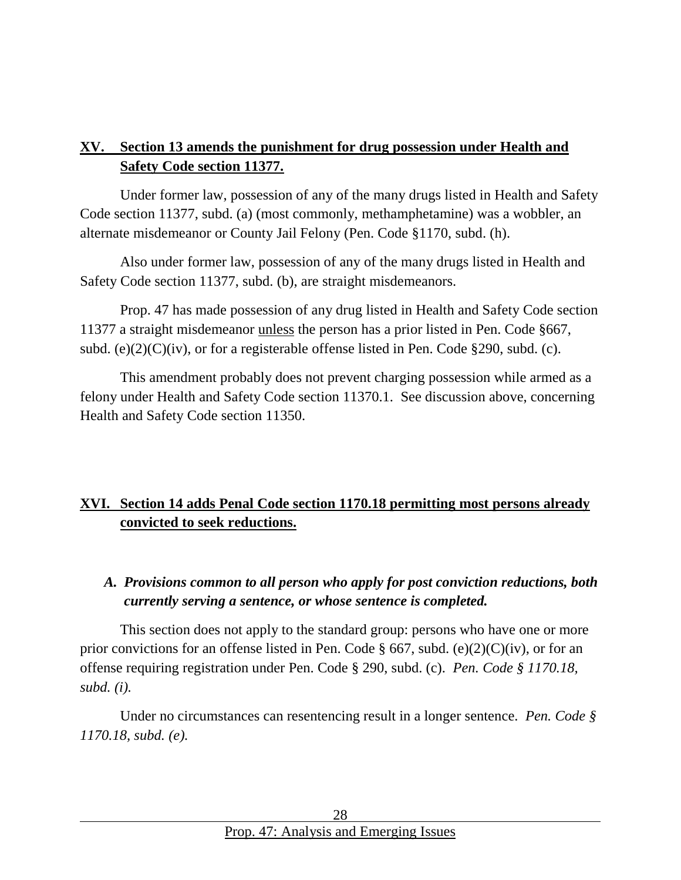### <span id="page-27-0"></span>**XV. Section 13 amends the punishment for drug possession under Health and Safety Code section 11377.**

Under former law, possession of any of the many drugs listed in Health and Safety Code section 11377, subd. (a) (most commonly, methamphetamine) was a wobbler, an alternate misdemeanor or County Jail Felony (Pen. Code §1170, subd. (h).

Also under former law, possession of any of the many drugs listed in Health and Safety Code section 11377, subd. (b), are straight misdemeanors.

Prop. 47 has made possession of any drug listed in Health and Safety Code section 11377 a straight misdemeanor unless the person has a prior listed in Pen. Code §667, subd. (e) $(2)(C)(iv)$ , or for a registerable offense listed in Pen. Code §290, subd. (c).

This amendment probably does not prevent charging possession while armed as a felony under Health and Safety Code section 11370.1. See discussion above, concerning Health and Safety Code section 11350.

# <span id="page-27-1"></span>**XVI. Section 14 adds Penal Code section 1170.18 permitting most persons already convicted to seek reductions.**

### <span id="page-27-2"></span>*A. Provisions common to all person who apply for post conviction reductions, both currently serving a sentence, or whose sentence is completed.*

This section does not apply to the standard group: persons who have one or more prior convictions for an offense listed in Pen. Code § 667, subd. (e)(2)(C)(iv), or for an offense requiring registration under Pen. Code § 290, subd. (c). *Pen. Code § 1170.18, subd. (i).*

Under no circumstances can resentencing result in a longer sentence. *Pen. Code § 1170.18, subd. (e).*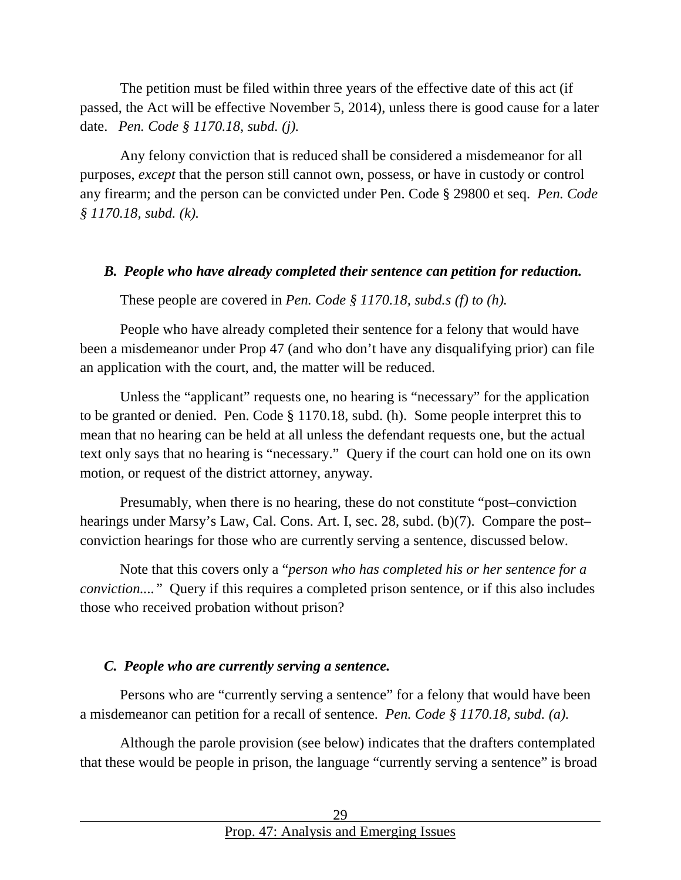The petition must be filed within three years of the effective date of this act (if passed, the Act will be effective November 5, 2014), unless there is good cause for a later date. *Pen. Code § 1170.18, subd. (j).*

Any felony conviction that is reduced shall be considered a misdemeanor for all purposes, *except* that the person still cannot own, possess, or have in custody or control any firearm; and the person can be convicted under Pen. Code § 29800 et seq. *Pen. Code § 1170.18, subd. (k).*

#### <span id="page-28-0"></span>*B. People who have already completed their sentence can petition for reduction.*

These people are covered in *Pen. Code § 1170.18, subd.s (f) to (h).*

People who have already completed their sentence for a felony that would have been a misdemeanor under Prop 47 (and who don't have any disqualifying prior) can file an application with the court, and, the matter will be reduced.

Unless the "applicant" requests one, no hearing is "necessary" for the application to be granted or denied. Pen. Code § 1170.18, subd. (h). Some people interpret this to mean that no hearing can be held at all unless the defendant requests one, but the actual text only says that no hearing is "necessary." Query if the court can hold one on its own motion, or request of the district attorney, anyway.

Presumably, when there is no hearing, these do not constitute "post–conviction hearings under Marsy's Law, Cal. Cons. Art. I, sec. 28, subd. (b)(7). Compare the post– conviction hearings for those who are currently serving a sentence, discussed below.

Note that this covers only a "*person who has completed his or her sentence for a conviction...."* Query if this requires a completed prison sentence, or if this also includes those who received probation without prison?

#### <span id="page-28-1"></span>*C. People who are currently serving a sentence.*

Persons who are "currently serving a sentence" for a felony that would have been a misdemeanor can petition for a recall of sentence. *Pen. Code § 1170.18, subd. (a).*

Although the parole provision (see below) indicates that the drafters contemplated that these would be people in prison, the language "currently serving a sentence" is broad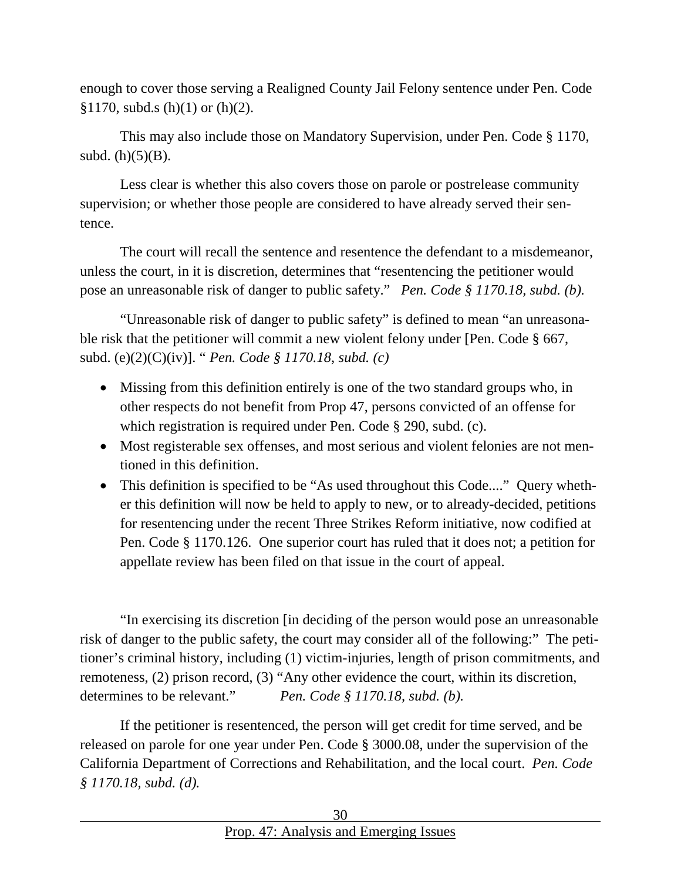enough to cover those serving a Realigned County Jail Felony sentence under Pen. Code  $$1170,$  subd.s (h)(1) or (h)(2).

This may also include those on Mandatory Supervision, under Pen. Code § 1170, subd.  $(h)(5)(B)$ .

Less clear is whether this also covers those on parole or postrelease community supervision; or whether those people are considered to have already served their sentence.

The court will recall the sentence and resentence the defendant to a misdemeanor, unless the court, in it is discretion, determines that "resentencing the petitioner would pose an unreasonable risk of danger to public safety." *Pen. Code § 1170.18, subd. (b).*

"Unreasonable risk of danger to public safety" is defined to mean "an unreasonable risk that the petitioner will commit a new violent felony under [Pen. Code § 667, subd. (e)(2)(C)(iv)]. " *Pen. Code § 1170.18, subd. (c)*

- Missing from this definition entirely is one of the two standard groups who, in other respects do not benefit from Prop 47, persons convicted of an offense for which registration is required under Pen. Code § 290, subd. (c).
- Most registerable sex offenses, and most serious and violent felonies are not mentioned in this definition.
- This definition is specified to be "As used throughout this Code...." Query whether this definition will now be held to apply to new, or to already-decided, petitions for resentencing under the recent Three Strikes Reform initiative, now codified at Pen. Code § 1170.126. One superior court has ruled that it does not; a petition for appellate review has been filed on that issue in the court of appeal.

"In exercising its discretion [in deciding of the person would pose an unreasonable risk of danger to the public safety, the court may consider all of the following:" The petitioner's criminal history, including (1) victim-injuries, length of prison commitments, and remoteness, (2) prison record, (3) "Any other evidence the court, within its discretion, determines to be relevant." *Pen. Code § 1170.18, subd. (b).*

If the petitioner is resentenced, the person will get credit for time served, and be released on parole for one year under Pen. Code § 3000.08, under the supervision of the California Department of Corrections and Rehabilitation, and the local court. *Pen. Code § 1170.18, subd. (d).*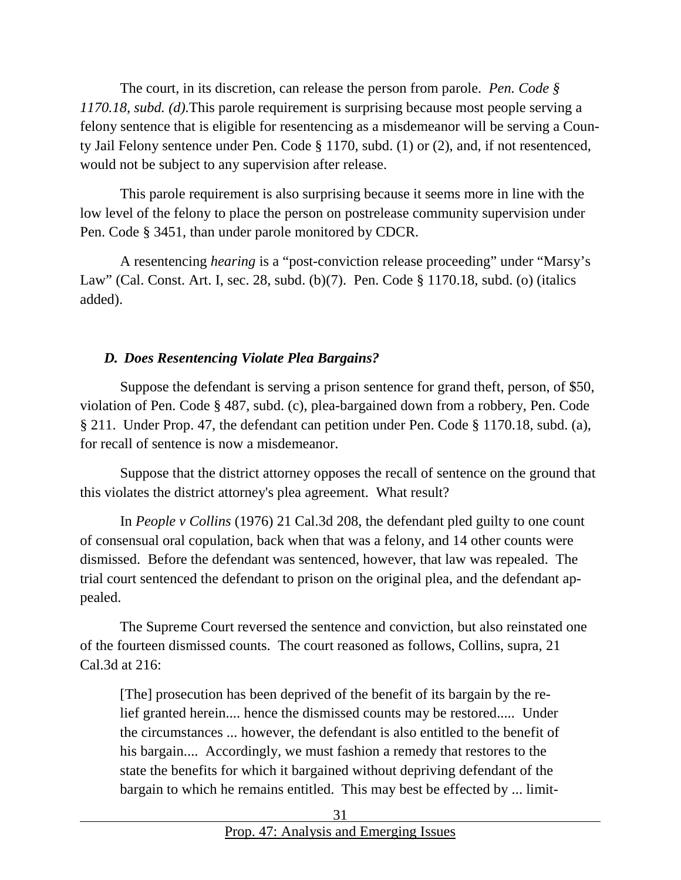The court, in its discretion, can release the person from parole. *Pen. Code § 1170.18, subd. (d).*This parole requirement is surprising because most people serving a felony sentence that is eligible for resentencing as a misdemeanor will be serving a County Jail Felony sentence under Pen. Code § 1170, subd. (1) or (2), and, if not resentenced, would not be subject to any supervision after release.

This parole requirement is also surprising because it seems more in line with the low level of the felony to place the person on postrelease community supervision under Pen. Code § 3451, than under parole monitored by CDCR.

A resentencing *hearing* is a "post-conviction release proceeding" under "Marsy's Law" (Cal. Const. Art. I, sec. 28, subd. (b)(7). Pen. Code § 1170.18, subd. (o) (italics added).

### <span id="page-30-0"></span>*D. Does Resentencing Violate Plea Bargains?*

Suppose the defendant is serving a prison sentence for grand theft, person, of \$50, violation of Pen. Code § 487, subd. (c), plea-bargained down from a robbery, Pen. Code § 211. Under Prop. 47, the defendant can petition under Pen. Code § 1170.18, subd. (a), for recall of sentence is now a misdemeanor.

Suppose that the district attorney opposes the recall of sentence on the ground that this violates the district attorney's plea agreement. What result?

In *People v Collins* (1976) 21 Cal.3d 208, the defendant pled guilty to one count of consensual oral copulation, back when that was a felony, and 14 other counts were dismissed. Before the defendant was sentenced, however, that law was repealed. The trial court sentenced the defendant to prison on the original plea, and the defendant appealed.

The Supreme Court reversed the sentence and conviction, but also reinstated one of the fourteen dismissed counts. The court reasoned as follows, Collins, supra, 21 Cal.3d at 216:

[The] prosecution has been deprived of the benefit of its bargain by the relief granted herein.... hence the dismissed counts may be restored..... Under the circumstances ... however, the defendant is also entitled to the benefit of his bargain.... Accordingly, we must fashion a remedy that restores to the state the benefits for which it bargained without depriving defendant of the bargain to which he remains entitled. This may best be effected by ... limit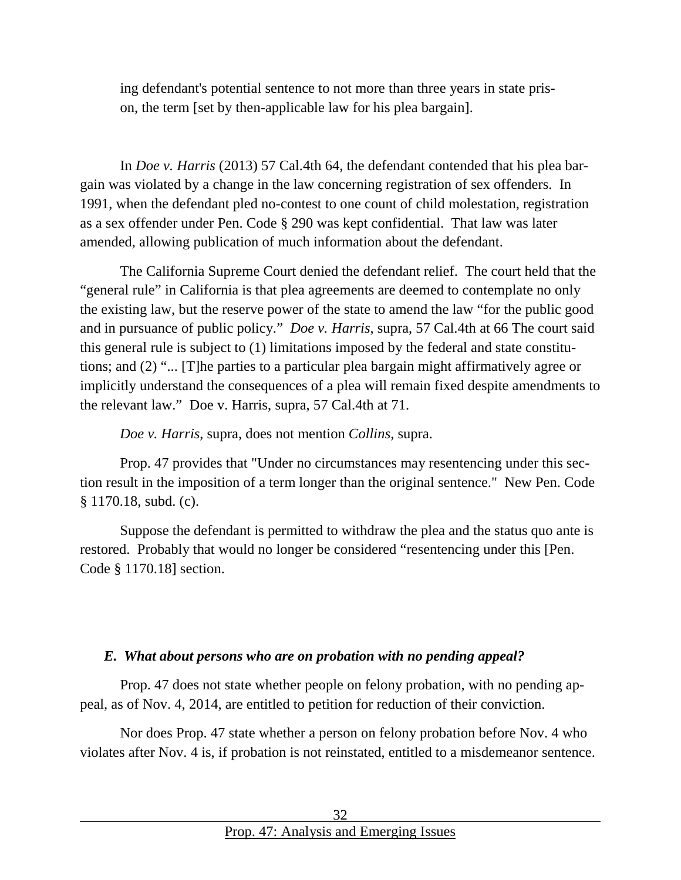ing defendant's potential sentence to not more than three years in state prison, the term [set by then-applicable law for his plea bargain].

In *Doe v. Harris* (2013) 57 Cal.4th 64, the defendant contended that his plea bargain was violated by a change in the law concerning registration of sex offenders. In 1991, when the defendant pled no-contest to one count of child molestation, registration as a sex offender under Pen. Code § 290 was kept confidential. That law was later amended, allowing publication of much information about the defendant.

The California Supreme Court denied the defendant relief. The court held that the "general rule" in California is that plea agreements are deemed to contemplate no only the existing law, but the reserve power of the state to amend the law "for the public good and in pursuance of public policy." *Doe v. Harris*, supra, 57 Cal.4th at 66 The court said this general rule is subject to (1) limitations imposed by the federal and state constitutions; and (2) "... [T]he parties to a particular plea bargain might affirmatively agree or implicitly understand the consequences of a plea will remain fixed despite amendments to the relevant law." Doe v. Harris, supra, 57 Cal.4th at 71.

*Doe v. Harris*, supra, does not mention *Collins*, supra.

Prop. 47 provides that "Under no circumstances may resentencing under this section result in the imposition of a term longer than the original sentence." New Pen. Code § 1170.18, subd. (c).

Suppose the defendant is permitted to withdraw the plea and the status quo ante is restored. Probably that would no longer be considered "resentencing under this [Pen. Code § 1170.18] section.

#### <span id="page-31-0"></span>*E. What about persons who are on probation with no pending appeal?*

Prop. 47 does not state whether people on felony probation, with no pending appeal, as of Nov. 4, 2014, are entitled to petition for reduction of their conviction.

Nor does Prop. 47 state whether a person on felony probation before Nov. 4 who violates after Nov. 4 is, if probation is not reinstated, entitled to a misdemeanor sentence.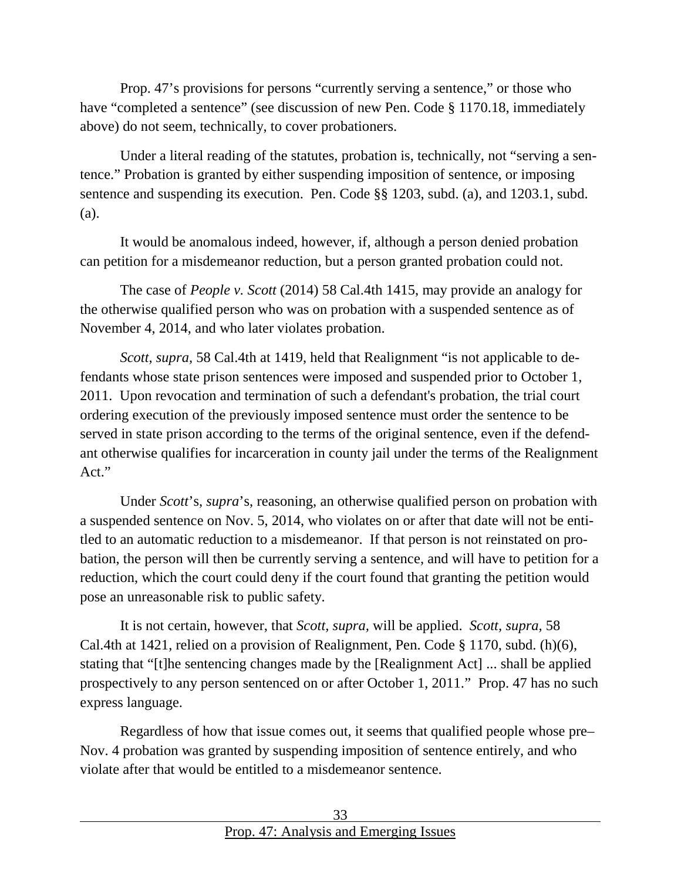Prop. 47's provisions for persons "currently serving a sentence," or those who have "completed a sentence" (see discussion of new Pen. Code § 1170.18, immediately above) do not seem, technically, to cover probationers.

Under a literal reading of the statutes, probation is, technically, not "serving a sentence." Probation is granted by either suspending imposition of sentence, or imposing sentence and suspending its execution. Pen. Code §§ 1203, subd. (a), and 1203.1, subd. (a).

It would be anomalous indeed, however, if, although a person denied probation can petition for a misdemeanor reduction, but a person granted probation could not.

The case of *People v. Scott* (2014) 58 Cal.4th 1415, may provide an analogy for the otherwise qualified person who was on probation with a suspended sentence as of November 4, 2014, and who later violates probation.

*Scott, supra,* 58 Cal.4th at 1419, held that Realignment "is not applicable to defendants whose state prison sentences were imposed and suspended prior to October 1, 2011. Upon revocation and termination of such a defendant's probation, the trial court ordering execution of the previously imposed sentence must order the sentence to be served in state prison according to the terms of the original sentence, even if the defendant otherwise qualifies for incarceration in county jail under the terms of the Realignment Act."

Under *Scott*'s, *supra*'s, reasoning, an otherwise qualified person on probation with a suspended sentence on Nov. 5, 2014, who violates on or after that date will not be entitled to an automatic reduction to a misdemeanor. If that person is not reinstated on probation, the person will then be currently serving a sentence, and will have to petition for a reduction, which the court could deny if the court found that granting the petition would pose an unreasonable risk to public safety.

It is not certain, however, that *Scott, supra,* will be applied. *Scott, supra,* 58 Cal.4th at 1421, relied on a provision of Realignment, Pen. Code § 1170, subd. (h)(6), stating that "[t]he sentencing changes made by the [Realignment Act] ... shall be applied prospectively to any person sentenced on or after October 1, 2011." Prop. 47 has no such express language.

Regardless of how that issue comes out, it seems that qualified people whose pre– Nov. 4 probation was granted by suspending imposition of sentence entirely, and who violate after that would be entitled to a misdemeanor sentence.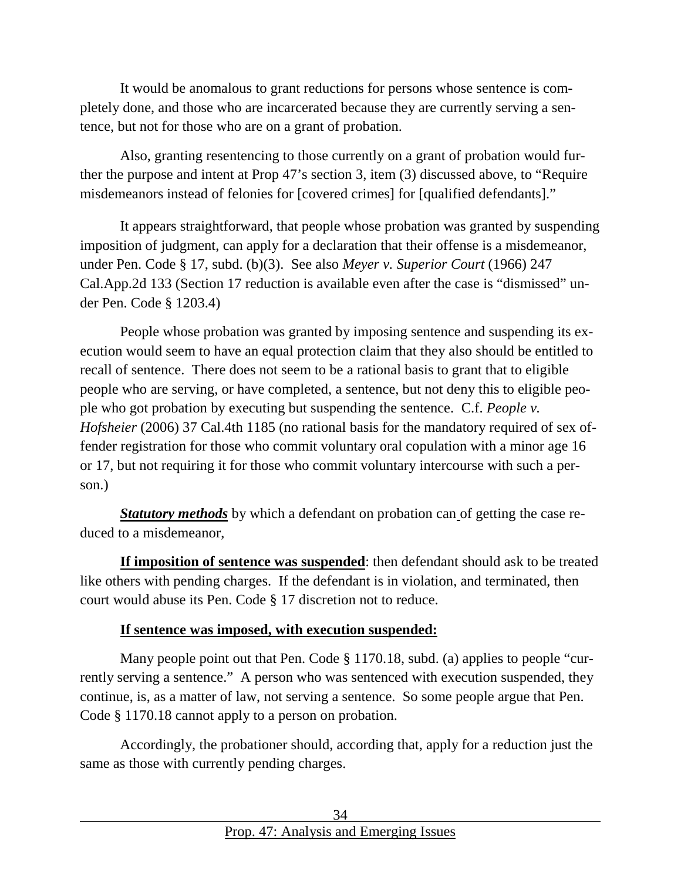It would be anomalous to grant reductions for persons whose sentence is completely done, and those who are incarcerated because they are currently serving a sentence, but not for those who are on a grant of probation.

Also, granting resentencing to those currently on a grant of probation would further the purpose and intent at Prop 47's section 3, item (3) discussed above, to "Require misdemeanors instead of felonies for [covered crimes] for [qualified defendants]."

It appears straightforward, that people whose probation was granted by suspending imposition of judgment, can apply for a declaration that their offense is a misdemeanor, under Pen. Code § 17, subd. (b)(3). See also *Meyer v. Superior Court* (1966) 247 Cal.App.2d 133 (Section 17 reduction is available even after the case is "dismissed" under Pen. Code § 1203.4)

People whose probation was granted by imposing sentence and suspending its execution would seem to have an equal protection claim that they also should be entitled to recall of sentence. There does not seem to be a rational basis to grant that to eligible people who are serving, or have completed, a sentence, but not deny this to eligible people who got probation by executing but suspending the sentence. C.f. *People v. Hofsheier* (2006) 37 Cal.4th 1185 (no rational basis for the mandatory required of sex offender registration for those who commit voluntary oral copulation with a minor age 16 or 17, but not requiring it for those who commit voluntary intercourse with such a person.)

*Statutory methods* by which a defendant on probation can of getting the case reduced to a misdemeanor,

**If imposition of sentence was suspended**: then defendant should ask to be treated like others with pending charges. If the defendant is in violation, and terminated, then court would abuse its Pen. Code § 17 discretion not to reduce.

#### **If sentence was imposed, with execution suspended:**

Many people point out that Pen. Code  $\S 1170.18$ , subd. (a) applies to people "currently serving a sentence." A person who was sentenced with execution suspended, they continue, is, as a matter of law, not serving a sentence. So some people argue that Pen. Code § 1170.18 cannot apply to a person on probation.

Accordingly, the probationer should, according that, apply for a reduction just the same as those with currently pending charges.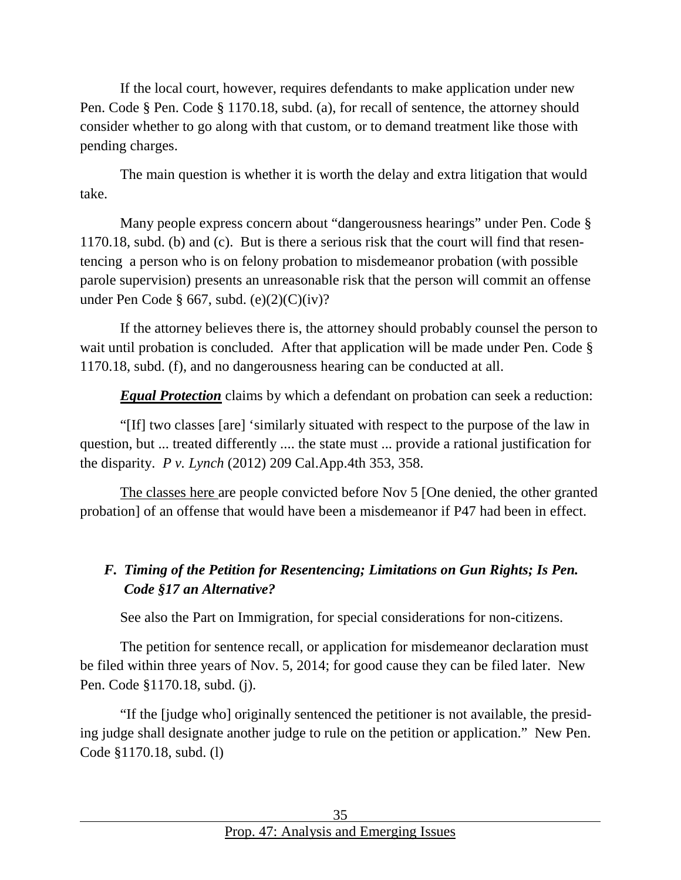If the local court, however, requires defendants to make application under new Pen. Code § Pen. Code § 1170.18, subd. (a), for recall of sentence, the attorney should consider whether to go along with that custom, or to demand treatment like those with pending charges.

The main question is whether it is worth the delay and extra litigation that would take.

Many people express concern about "dangerousness hearings" under Pen. Code § 1170.18, subd. (b) and (c). But is there a serious risk that the court will find that resentencing a person who is on felony probation to misdemeanor probation (with possible parole supervision) presents an unreasonable risk that the person will commit an offense under Pen Code § 667, subd.  $(e)(2)(C)(iv)$ ?

If the attorney believes there is, the attorney should probably counsel the person to wait until probation is concluded. After that application will be made under Pen. Code § 1170.18, subd. (f), and no dangerousness hearing can be conducted at all.

*Equal Protection* claims by which a defendant on probation can seek a reduction:

"[If] two classes [are] 'similarly situated with respect to the purpose of the law in question, but ... treated differently .... the state must ... provide a rational justification for the disparity. *P v. Lynch* (2012) 209 Cal.App.4th 353, 358.

The classes here are people convicted before Nov 5 [One denied, the other granted probation] of an offense that would have been a misdemeanor if P47 had been in effect.

# <span id="page-34-0"></span>*F. Timing of the Petition for Resentencing; Limitations on Gun Rights; Is Pen. Code §17 an Alternative?*

See also the Part on Immigration, for special considerations for non-citizens.

The petition for sentence recall, or application for misdemeanor declaration must be filed within three years of Nov. 5, 2014; for good cause they can be filed later. New Pen. Code §1170.18, subd. (j).

"If the [judge who] originally sentenced the petitioner is not available, the presiding judge shall designate another judge to rule on the petition or application." New Pen. Code §1170.18, subd. (l)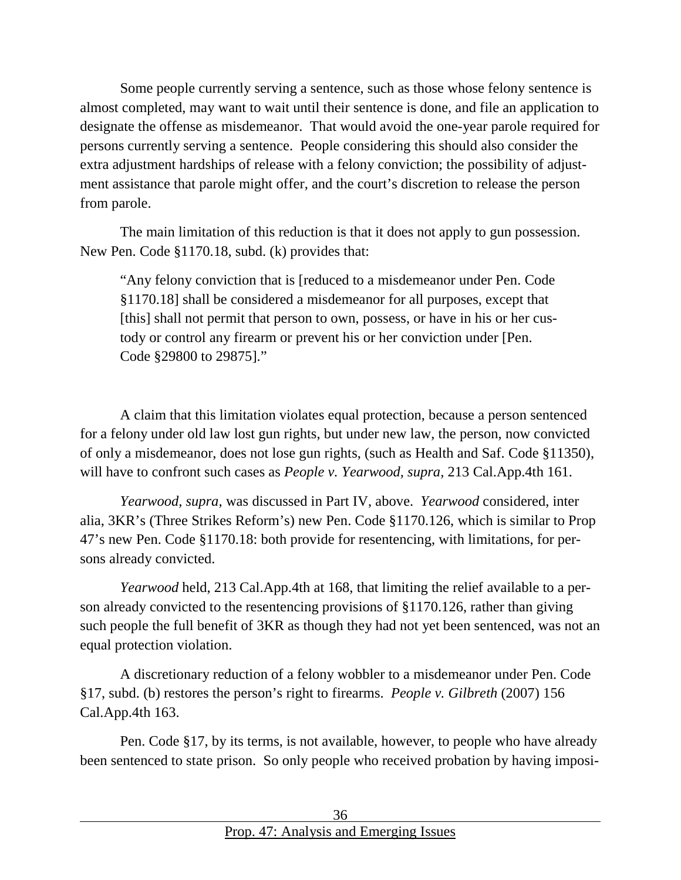Some people currently serving a sentence, such as those whose felony sentence is almost completed, may want to wait until their sentence is done, and file an application to designate the offense as misdemeanor. That would avoid the one-year parole required for persons currently serving a sentence. People considering this should also consider the extra adjustment hardships of release with a felony conviction; the possibility of adjustment assistance that parole might offer, and the court's discretion to release the person from parole.

The main limitation of this reduction is that it does not apply to gun possession. New Pen. Code §1170.18, subd. (k) provides that:

"Any felony conviction that is [reduced to a misdemeanor under Pen. Code §1170.18] shall be considered a misdemeanor for all purposes, except that [this] shall not permit that person to own, possess, or have in his or her custody or control any firearm or prevent his or her conviction under [Pen. Code §29800 to 29875]."

A claim that this limitation violates equal protection, because a person sentenced for a felony under old law lost gun rights, but under new law, the person, now convicted of only a misdemeanor, does not lose gun rights, (such as Health and Saf. Code §11350), will have to confront such cases as *People v. Yearwood, supra,* 213 Cal.App.4th 161.

*Yearwood, supra,* was discussed in Part IV, above. *Yearwood* considered, inter alia, 3KR's (Three Strikes Reform's) new Pen. Code §1170.126, which is similar to Prop 47's new Pen. Code §1170.18: both provide for resentencing, with limitations, for persons already convicted.

*Yearwood* held, 213 Cal.App.4th at 168, that limiting the relief available to a person already convicted to the resentencing provisions of §1170.126, rather than giving such people the full benefit of 3KR as though they had not yet been sentenced, was not an equal protection violation.

A discretionary reduction of a felony wobbler to a misdemeanor under Pen. Code §17, subd. (b) restores the person's right to firearms. *People v. Gilbreth* (2007) 156 Cal.App.4th 163.

Pen. Code §17, by its terms, is not available, however, to people who have already been sentenced to state prison. So only people who received probation by having imposi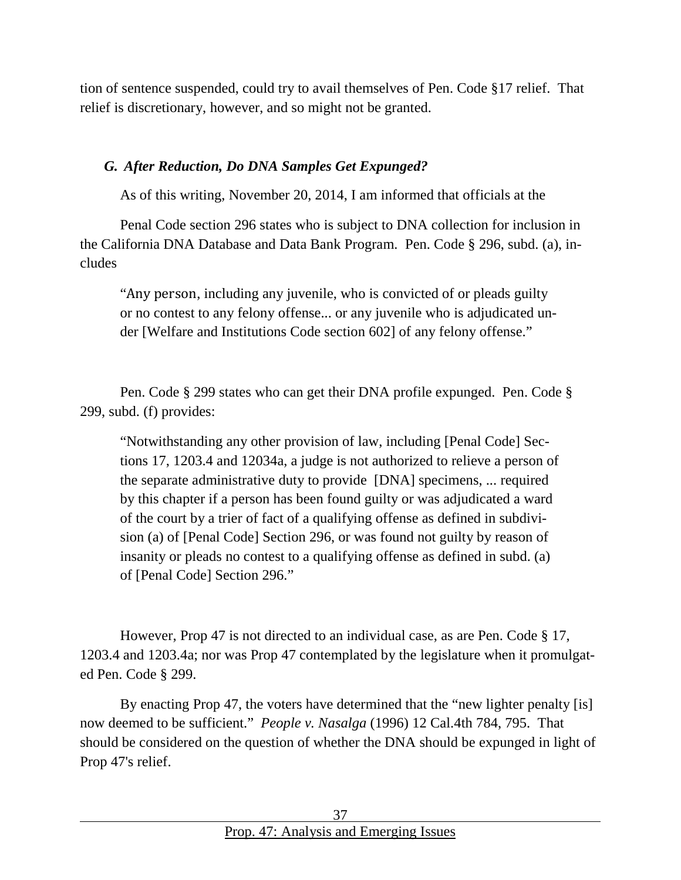tion of sentence suspended, could try to avail themselves of Pen. Code §17 relief. That relief is discretionary, however, and so might not be granted.

#### <span id="page-36-0"></span>*G. After Reduction, Do DNA Samples Get Expunged?*

As of this writing, November 20, 2014, I am informed that officials at the

Penal Code section 296 states who is subject to DNA collection for inclusion in the California DNA Database and Data Bank Program. Pen. Code § 296, subd. (a), includes

"Any person, including any juvenile, who is convicted of or pleads guilty or no contest to any felony offense... or any juvenile who is adjudicated under [Welfare and Institutions Code section 602] of any felony offense."

Pen. Code § 299 states who can get their DNA profile expunged. Pen. Code § 299, subd. (f) provides:

"Notwithstanding any other provision of law, including [Penal Code] Sections 17, 1203.4 and 12034a, a judge is not authorized to relieve a person of the separate administrative duty to provide [DNA] specimens, ... required by this chapter if a person has been found guilty or was adjudicated a ward of the court by a trier of fact of a qualifying offense as defined in subdivision (a) of [Penal Code] Section 296, or was found not guilty by reason of insanity or pleads no contest to a qualifying offense as defined in subd. (a) of [Penal Code] Section 296."

However, Prop 47 is not directed to an individual case, as are Pen. Code § 17, 1203.4 and 1203.4a; nor was Prop 47 contemplated by the legislature when it promulgated Pen. Code § 299.

By enacting Prop 47, the voters have determined that the "new lighter penalty [is] now deemed to be sufficient." *People v. Nasalga* (1996) 12 Cal.4th 784, 795. That should be considered on the question of whether the DNA should be expunged in light of Prop 47's relief.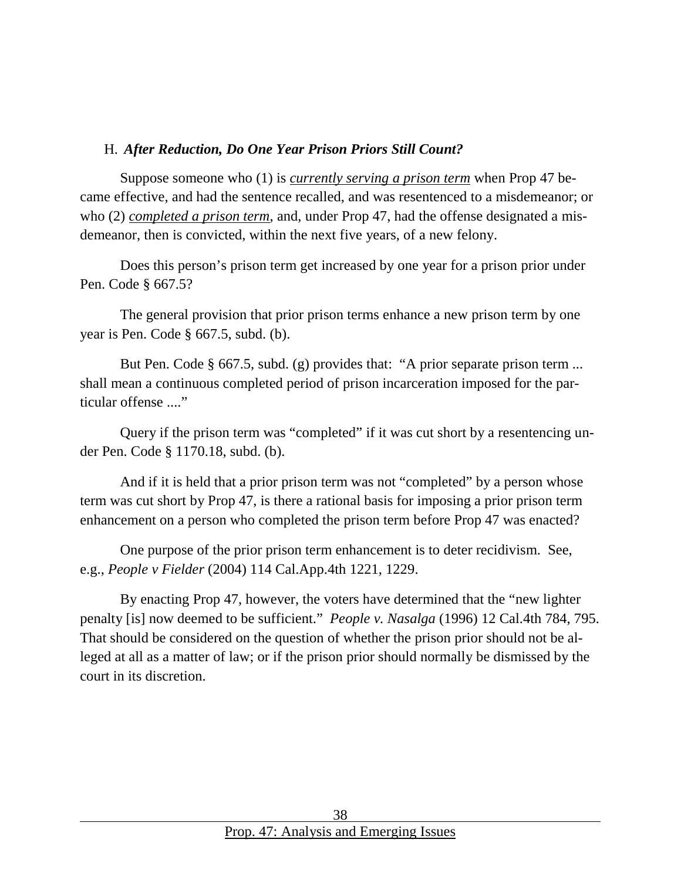#### <span id="page-37-0"></span>H. *After Reduction, Do One Year Prison Priors Still Count?*

Suppose someone who (1) is *currently serving a prison term* when Prop 47 became effective, and had the sentence recalled, and was resentenced to a misdemeanor; or who (2) *completed a prison term*, and, under Prop 47, had the offense designated a misdemeanor, then is convicted, within the next five years, of a new felony.

Does this person's prison term get increased by one year for a prison prior under Pen. Code § 667.5?

The general provision that prior prison terms enhance a new prison term by one year is Pen. Code § 667.5, subd. (b).

But Pen. Code § 667.5, subd. (g) provides that: "A prior separate prison term ... shall mean a continuous completed period of prison incarceration imposed for the particular offense ...."

Query if the prison term was "completed" if it was cut short by a resentencing under Pen. Code § 1170.18, subd. (b).

And if it is held that a prior prison term was not "completed" by a person whose term was cut short by Prop 47, is there a rational basis for imposing a prior prison term enhancement on a person who completed the prison term before Prop 47 was enacted?

One purpose of the prior prison term enhancement is to deter recidivism. See, e.g., *People v Fielder* (2004) 114 Cal.App.4th 1221, 1229.

By enacting Prop 47, however, the voters have determined that the "new lighter penalty [is] now deemed to be sufficient." *People v. Nasalga* (1996) 12 Cal.4th 784, 795. That should be considered on the question of whether the prison prior should not be alleged at all as a matter of law; or if the prison prior should normally be dismissed by the court in its discretion.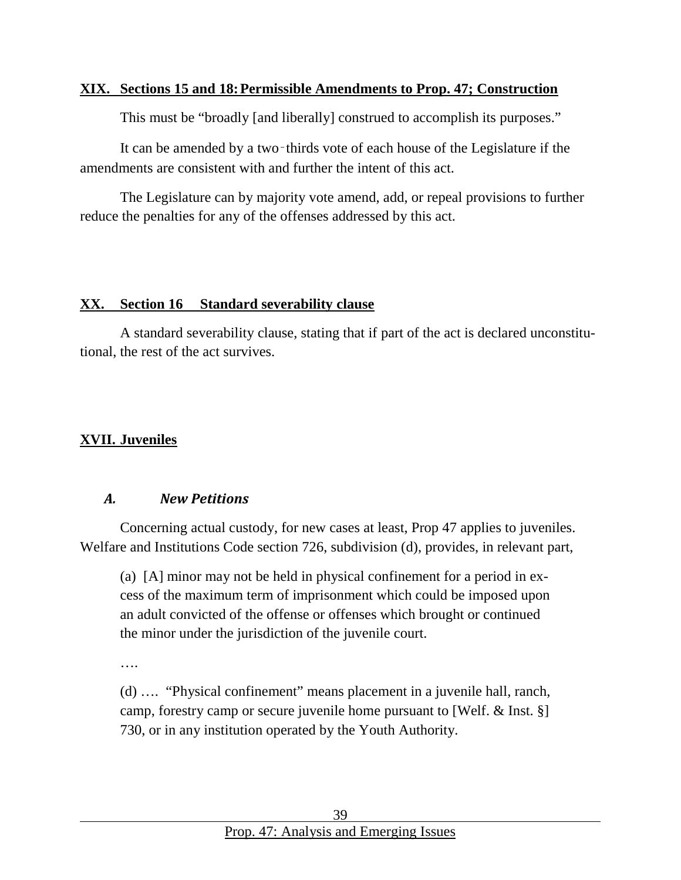#### <span id="page-38-0"></span>**XIX. Sections 15 and 18:Permissible Amendments to Prop. 47; Construction**

This must be "broadly [and liberally] construed to accomplish its purposes."

It can be amended by a two‑thirds vote of each house of the Legislature if the amendments are consistent with and further the intent of this act.

The Legislature can by majority vote amend, add, or repeal provisions to further reduce the penalties for any of the offenses addressed by this act.

#### <span id="page-38-1"></span>**XX. Section 16 Standard severability clause**

A standard severability clause, stating that if part of the act is declared unconstitutional, the rest of the act survives.

# <span id="page-38-2"></span>**XVII. Juveniles**

#### *A. New Petitions*

Concerning actual custody, for new cases at least, Prop 47 applies to juveniles. Welfare and Institutions Code section 726, subdivision (d), provides, in relevant part,

(a) [A] minor may not be held in physical confinement for a period in excess of the maximum term of imprisonment which could be imposed upon an adult convicted of the offense or offenses which brought or continued the minor under the jurisdiction of the juvenile court.

….

(d) …. "Physical confinement" means placement in a juvenile hall, ranch, camp, forestry camp or secure juvenile home pursuant to [Welf. & Inst. §] 730, or in any institution operated by the Youth Authority.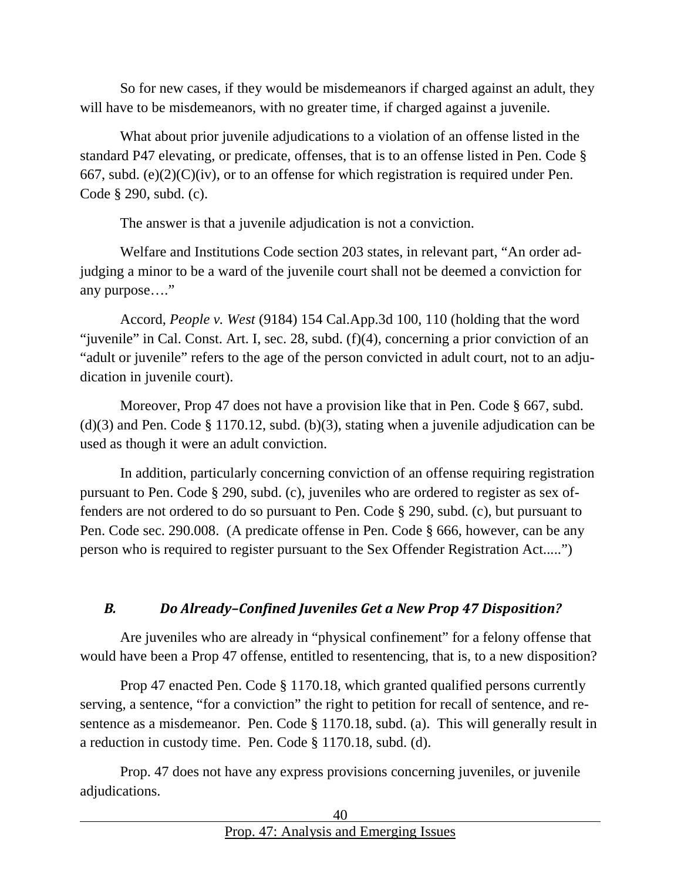So for new cases, if they would be misdemeanors if charged against an adult, they will have to be misdemeanors, with no greater time, if charged against a juvenile.

What about prior juvenile adjudications to a violation of an offense listed in the standard P47 elevating, or predicate, offenses, that is to an offense listed in Pen. Code § 667, subd. (e) $(2)(C)(iv)$ , or to an offense for which registration is required under Pen. Code § 290, subd. (c).

The answer is that a juvenile adjudication is not a conviction.

Welfare and Institutions Code section 203 states, in relevant part, "An order adjudging a minor to be a ward of the juvenile court shall not be deemed a conviction for any purpose…."

Accord, *People v. West* (9184) 154 Cal.App.3d 100, 110 (holding that the word "juvenile" in Cal. Const. Art. I, sec. 28, subd. (f)(4), concerning a prior conviction of an "adult or juvenile" refers to the age of the person convicted in adult court, not to an adjudication in juvenile court).

Moreover, Prop 47 does not have a provision like that in Pen. Code § 667, subd.  $(d)(3)$  and Pen. Code § 1170.12, subd.  $(b)(3)$ , stating when a juvenile adjudication can be used as though it were an adult conviction.

In addition, particularly concerning conviction of an offense requiring registration pursuant to Pen. Code § 290, subd. (c), juveniles who are ordered to register as sex offenders are not ordered to do so pursuant to Pen. Code § 290, subd. (c), but pursuant to Pen. Code sec. 290.008. (A predicate offense in Pen. Code § 666, however, can be any person who is required to register pursuant to the Sex Offender Registration Act.....")

# *B. Do Already–Confined Juveniles Get a New Prop 47 Disposition?*

Are juveniles who are already in "physical confinement" for a felony offense that would have been a Prop 47 offense, entitled to resentencing, that is, to a new disposition?

Prop 47 enacted Pen. Code § 1170.18, which granted qualified persons currently serving, a sentence, "for a conviction" the right to petition for recall of sentence, and resentence as a misdemeanor. Pen. Code § 1170.18, subd. (a). This will generally result in a reduction in custody time. Pen. Code § 1170.18, subd. (d).

Prop. 47 does not have any express provisions concerning juveniles, or juvenile adjudications.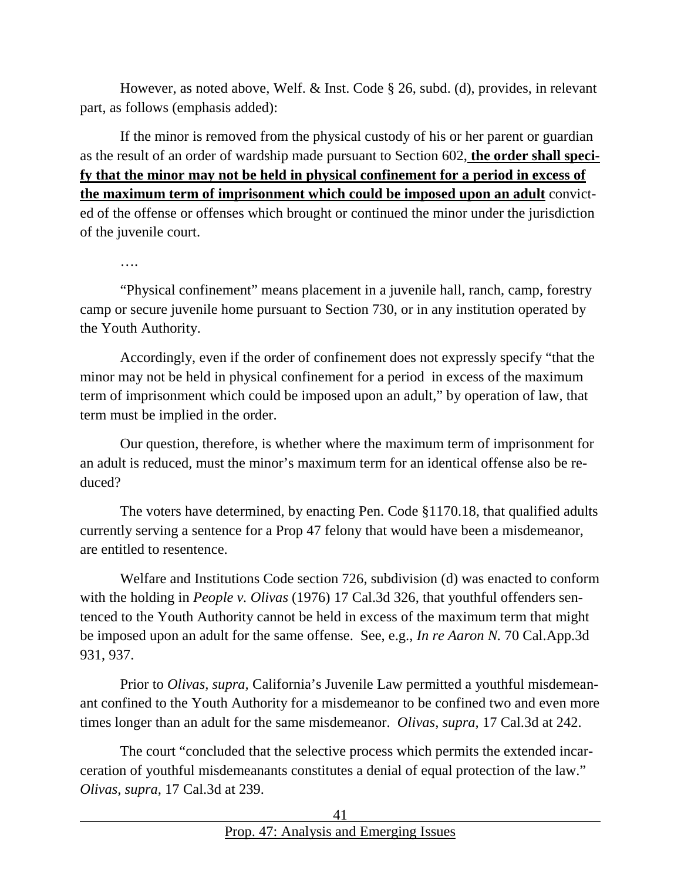However, as noted above, Welf. & Inst. Code § 26, subd. (d), provides, in relevant part, as follows (emphasis added):

If the minor is removed from the physical custody of his or her parent or guardian as the result of an order of wardship made pursuant to Section 602, **the order shall specify that the minor may not be held in physical confinement for a period in excess of the maximum term of imprisonment which could be imposed upon an adult** convicted of the offense or offenses which brought or continued the minor under the jurisdiction of the juvenile court.

"Physical confinement" means placement in a juvenile hall, ranch, camp, forestry camp or secure juvenile home pursuant to Section 730, or in any institution operated by the Youth Authority.

Accordingly, even if the order of confinement does not expressly specify "that the minor may not be held in physical confinement for a period in excess of the maximum term of imprisonment which could be imposed upon an adult," by operation of law, that term must be implied in the order.

Our question, therefore, is whether where the maximum term of imprisonment for an adult is reduced, must the minor's maximum term for an identical offense also be reduced?

The voters have determined, by enacting Pen. Code §1170.18, that qualified adults currently serving a sentence for a Prop 47 felony that would have been a misdemeanor, are entitled to resentence.

Welfare and Institutions Code section 726, subdivision (d) was enacted to conform with the holding in *People v. Olivas* (1976) 17 Cal.3d 326, that youthful offenders sentenced to the Youth Authority cannot be held in excess of the maximum term that might be imposed upon an adult for the same offense. See, e.g., *In re Aaron N.* 70 Cal.App.3d 931, 937.

Prior to *Olivas, supra,* California's Juvenile Law permitted a youthful misdemeanant confined to the Youth Authority for a misdemeanor to be confined two and even more times longer than an adult for the same misdemeanor. *Olivas, supra,* 17 Cal.3d at 242.

The court "concluded that the selective process which permits the extended incarceration of youthful misdemeanants constitutes a denial of equal protection of the law." *Olivas, supra,* 17 Cal.3d at 239.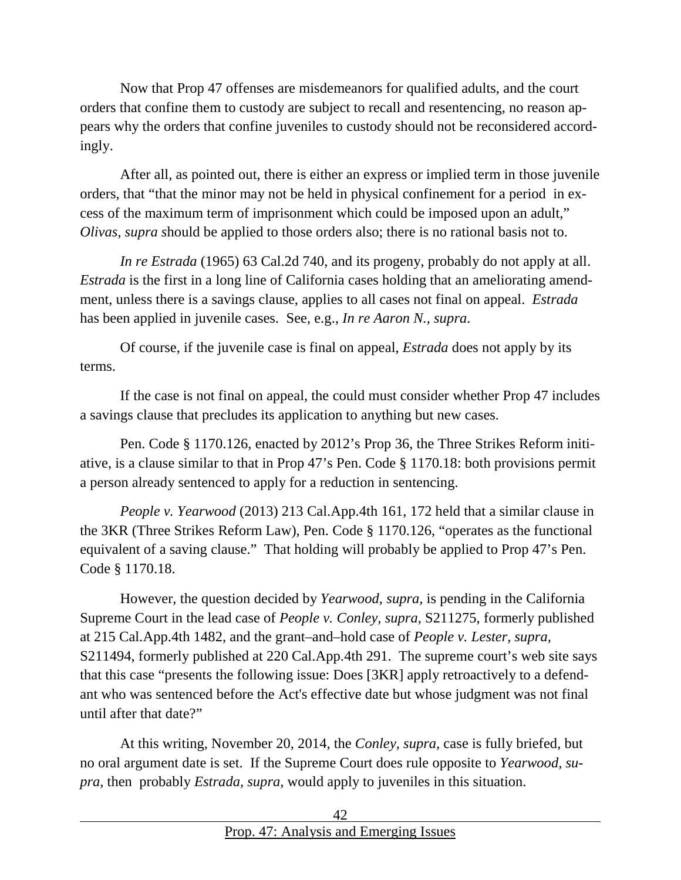Now that Prop 47 offenses are misdemeanors for qualified adults, and the court orders that confine them to custody are subject to recall and resentencing, no reason appears why the orders that confine juveniles to custody should not be reconsidered accordingly.

After all, as pointed out, there is either an express or implied term in those juvenile orders, that "that the minor may not be held in physical confinement for a period in excess of the maximum term of imprisonment which could be imposed upon an adult," *Olivas, supra s*hould be applied to those orders also; there is no rational basis not to.

*In re Estrada* (1965) 63 Cal.2d 740, and its progeny, probably do not apply at all. *Estrada* is the first in a long line of California cases holding that an ameliorating amendment, unless there is a savings clause, applies to all cases not final on appeal. *Estrada* has been applied in juvenile cases. See, e.g., *In re Aaron N., supra*.

Of course, if the juvenile case is final on appeal, *Estrada* does not apply by its terms.

If the case is not final on appeal, the could must consider whether Prop 47 includes a savings clause that precludes its application to anything but new cases.

Pen. Code § 1170.126, enacted by 2012's Prop 36, the Three Strikes Reform initiative, is a clause similar to that in Prop 47's Pen. Code § 1170.18: both provisions permit a person already sentenced to apply for a reduction in sentencing.

*People v. Yearwood* (2013) 213 Cal.App.4th 161, 172 held that a similar clause in the 3KR (Three Strikes Reform Law), Pen. Code § 1170.126, "operates as the functional equivalent of a saving clause." That holding will probably be applied to Prop 47's Pen. Code § 1170.18.

However, the question decided by *Yearwood, supra,* is pending in the California Supreme Court in the lead case of *People v. Conley, supra,* S211275, formerly published at 215 Cal.App.4th 1482, and the grant–and–hold case of *People v. Lester, supra,* S211494, formerly published at 220 Cal.App.4th 291. The supreme court's web site says that this case "presents the following issue: Does [3KR] apply retroactively to a defendant who was sentenced before the Act's effective date but whose judgment was not final until after that date?"

At this writing, November 20, 2014, the *Conley, supra,* case is fully briefed, but no oral argument date is set. If the Supreme Court does rule opposite to *Yearwood, supra,* then probably *Estrada, supra,* would apply to juveniles in this situation.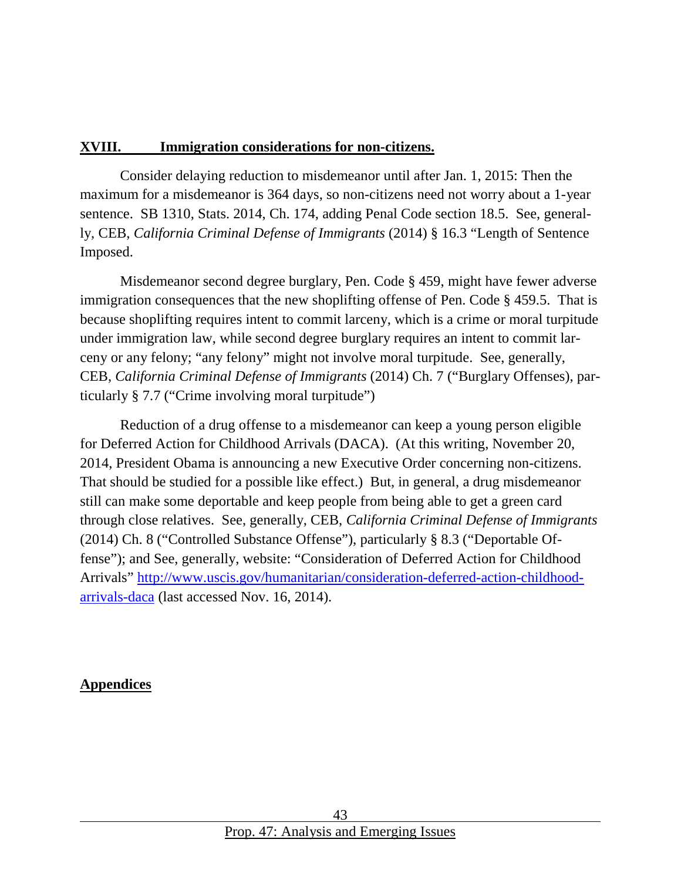#### <span id="page-42-0"></span>**XVIII. Immigration considerations for non-citizens.**

Consider delaying reduction to misdemeanor until after Jan. 1, 2015: Then the maximum for a misdemeanor is 364 days, so non-citizens need not worry about a 1-year sentence. SB 1310, Stats. 2014, Ch. 174, adding Penal Code section 18.5. See, generally, CEB, *California Criminal Defense of Immigrants* (2014) § 16.3 "Length of Sentence Imposed.

Misdemeanor second degree burglary, Pen. Code § 459, might have fewer adverse immigration consequences that the new shoplifting offense of Pen. Code § 459.5. That is because shoplifting requires intent to commit larceny, which is a crime or moral turpitude under immigration law, while second degree burglary requires an intent to commit larceny or any felony; "any felony" might not involve moral turpitude. See, generally, CEB, *California Criminal Defense of Immigrants* (2014) Ch. 7 ("Burglary Offenses), particularly § 7.7 ("Crime involving moral turpitude")

Reduction of a drug offense to a misdemeanor can keep a young person eligible for Deferred Action for Childhood Arrivals (DACA). (At this writing, November 20, 2014, President Obama is announcing a new Executive Order concerning non-citizens. That should be studied for a possible like effect.) But, in general, a drug misdemeanor still can make some deportable and keep people from being able to get a green card through close relatives. See, generally, CEB, *California Criminal Defense of Immigrants* (2014) Ch. 8 ("Controlled Substance Offense"), particularly § 8.3 ("Deportable Offense"); and See, generally, website: "Consideration of Deferred Action for Childhood Arrivals" [http://www.uscis.gov/humanitarian/consideration-deferred-action-childhood](http://www.uscis.gov/humanitarian/consideration-deferred-action-childhood-arrivals-daca)[arrivals-daca](http://www.uscis.gov/humanitarian/consideration-deferred-action-childhood-arrivals-daca) (last accessed Nov. 16, 2014).

#### <span id="page-42-1"></span>**Appendices**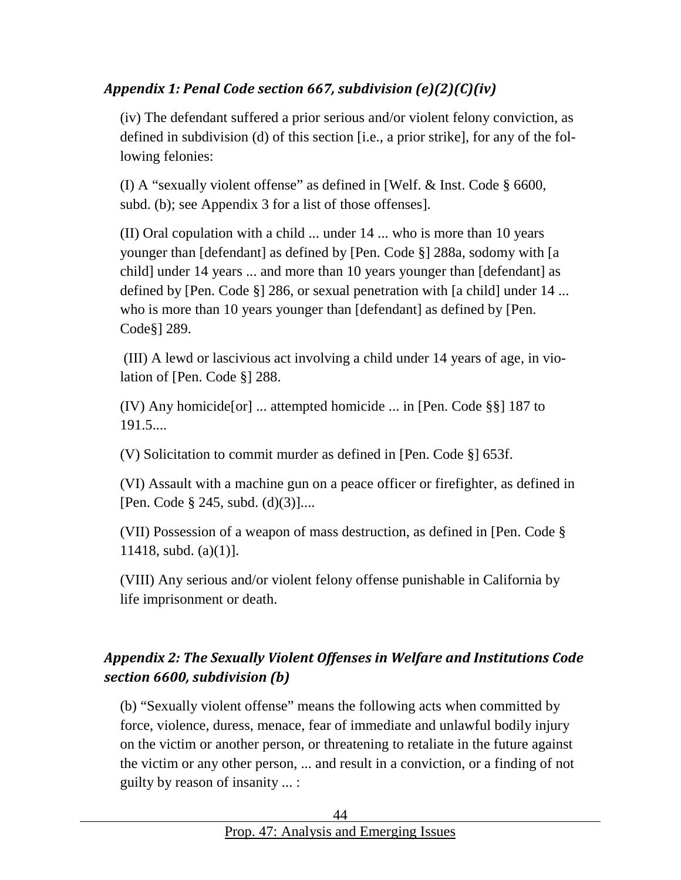# <span id="page-43-0"></span>*Appendix 1: Penal Code section 667, subdivision (e)(2)(C)(iv)*

(iv) The defendant suffered a prior serious and/or violent felony conviction, as defined in subdivision (d) of this section [i.e., a prior strike], for any of the following felonies:

(I) A "sexually violent offense" as defined in [Welf. & Inst. Code § 6600, subd. (b); see Appendix 3 for a list of those offenses].

(II) Oral copulation with a child ... under 14 ... who is more than 10 years younger than [defendant] as defined by [Pen. Code §] 288a, sodomy with [a child] under 14 years ... and more than 10 years younger than [defendant] as defined by [Pen. Code §] 286, or sexual penetration with [a child] under 14 ... who is more than 10 years younger than [defendant] as defined by [Pen. Code§] 289.

(III) A lewd or lascivious act involving a child under 14 years of age, in violation of [Pen. Code §] 288.

(IV) Any homicide[or] ... attempted homicide ... in [Pen. Code §§] 187 to 191.5....

(V) Solicitation to commit murder as defined in [Pen. Code §] 653f.

(VI) Assault with a machine gun on a peace officer or firefighter, as defined in [Pen. Code § 245, subd. (d)(3)]....

(VII) Possession of a weapon of mass destruction, as defined in [Pen. Code § 11418, subd.  $(a)(1)$ ].

(VIII) Any serious and/or violent felony offense punishable in California by life imprisonment or death.

# <span id="page-43-1"></span>*Appendix 2: The Sexually Violent Offenses in Welfare and Institutions Code section 6600, subdivision (b)*

(b) "Sexually violent offense" means the following acts when committed by force, violence, duress, menace, fear of immediate and unlawful bodily injury on the victim or another person, or threatening to retaliate in the future against the victim or any other person, ... and result in a conviction, or a finding of not guilty by reason of insanity ... :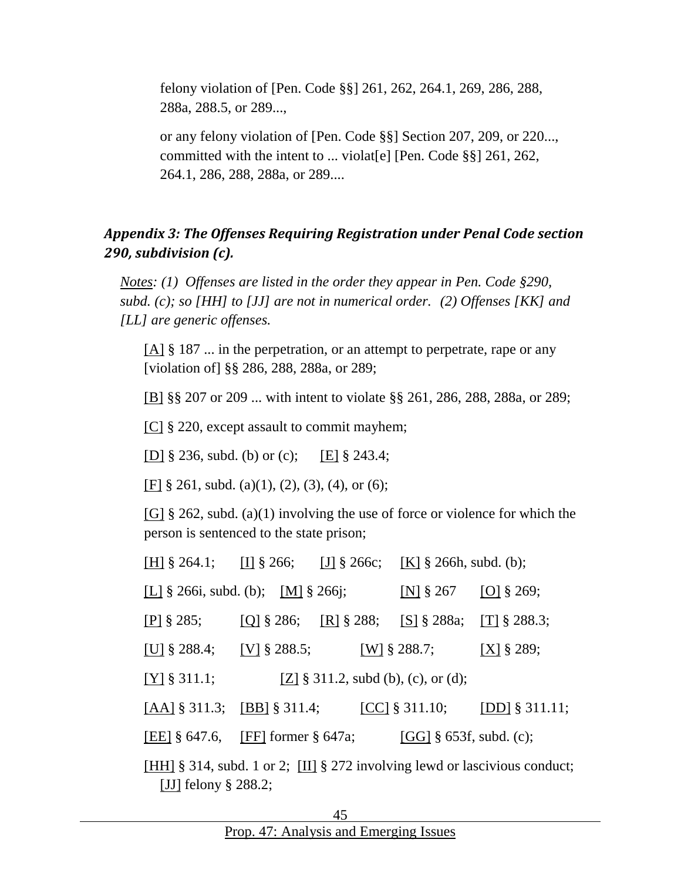felony violation of [Pen. Code §§] 261, 262, 264.1, 269, 286, 288, 288a, 288.5, or 289...,

or any felony violation of [Pen. Code §§] Section 207, 209, or 220..., committed with the intent to ... violat[e] [Pen. Code §§] 261, 262, 264.1, 286, 288, 288a, or 289....

#### <span id="page-44-0"></span>*Appendix 3: The Offenses Requiring Registration under Penal Code section 290, subdivision (c).*

*Notes: (1) Offenses are listed in the order they appear in Pen. Code §290, subd. (c); so [HH] to [JJ] are not in numerical order. (2) Offenses [KK] and [LL] are generic offenses.*

[A] § 187 ... in the perpetration, or an attempt to perpetrate, rape or any [violation of] §§ 286, 288, 288a, or 289;

[B] §§ 207 or 209 ... with intent to violate §§ 261, 286, 288, 288a, or 289;

[C] § 220, except assault to commit mayhem;

[D] § 236, subd. (b) or (c); [E] § 243.4;

[F] § 261, subd. (a)(1), (2), (3), (4), or (6);

[G] § 262, subd. (a)(1) involving the use of force or violence for which the person is sentenced to the state prison;

| [H] $\S$ 264.1; [I] $\S$ 266; [J] $\S$ 266c; [K] $\S$ 266h, subd. (b);                                |  |                               |                                |                  |  |  |  |
|-------------------------------------------------------------------------------------------------------|--|-------------------------------|--------------------------------|------------------|--|--|--|
| [L] $\S$ 266i, subd. (b); [M] $\S$ 266j;                                                              |  |                               | [N] $\S 267$                   | $[O] \$ 269;     |  |  |  |
| $[P]$ § 285;                                                                                          |  | [Q] $\S 286$ ; [R] $\S 288$ ; | [S] $\S$ 288a; [T] $\S$ 288.3; |                  |  |  |  |
| [U] $\S 288.4$ ; [V] $\S 288.5$ ;                                                                     |  |                               | [W] $\S 288.7;$                | $[X]$ § 289;     |  |  |  |
| $[Y] \$ 311.1;<br>[Z] $\S$ 311.2, subd (b), (c), or (d);                                              |  |                               |                                |                  |  |  |  |
| $[AA]$ § 311.3; $[BB]$ § 311.4;                                                                       |  |                               | [CC] $§$ 311.10;               | [DD] $§$ 311.11; |  |  |  |
| [EE] $\S$ 647.6, [FF] former $\S$ 647a;                                                               |  |                               | [GG] $\S$ 653f, subd. (c);     |                  |  |  |  |
| [HH] § 314, subd. 1 or 2; [II] § 272 involving lewd or lascivious conduct;<br>[JJ] felony $\S$ 288.2; |  |                               |                                |                  |  |  |  |